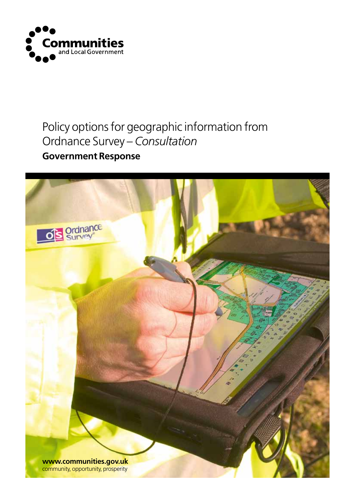

## Policy options for geographic information from Ordnance Survey – *Consultation*

### **Government Response**

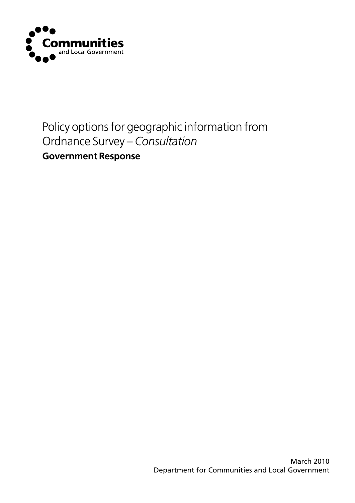

## Policy options for geographic information from Ordnance Survey – *Consultation*

### **Government Response**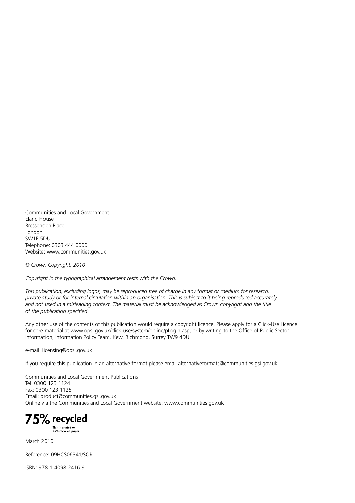Communities and Local Government Eland House Bressenden Place London SW1E 5DU Telephone: 0303 444 0000 Website: www.communities.gov.uk

*© Crown Copyright, 2010*

*Copyright in the typographical arrangement rests with the Crown.*

*This publication, excluding logos, may be reproduced free of charge in any format or medium for research, private study or for internal circulation within an organisation. This is subject to it being reproduced accurately and not used in a misleading context. The material must be acknowledged as Crown copyright and the title of the publication specified.*

Any other use of the contents of this publication would require a copyright licence. Please apply for a Click-Use Licence for core material at www.opsi.gov.uk/click-use/system/online/pLogin.asp, or by writing to the Office of Public Sector Information, Information Policy Team, Kew, Richmond, Surrey TW9 4DU

e-mail: licensing@opsi.gov.uk

If you require this publication in an alternative format please email alternativeformats@communities.gsi.gov.uk

Communities and Local Government Publications Tel: 0300 123 1124 Fax: 0300 123 1125 Email: product@communities.gsi.gov.uk Online via the Communities and Local Government website: www.communities.gov.uk

75% recycled

This is printed on<br>75% recycled paper

March 2010

Reference: 09HCS06341/SOR

ISBN: 978-1-4098-2416-9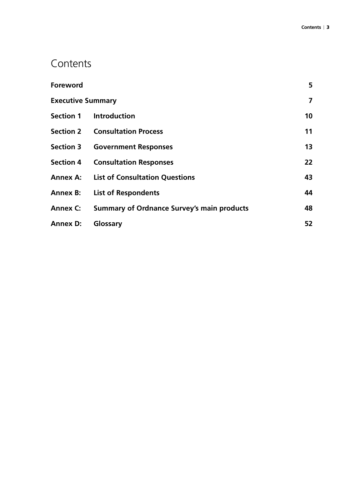### **Contents**

| Foreword        |                                                   | 5                 |
|-----------------|---------------------------------------------------|-------------------|
|                 | $\overline{ }$<br><b>Executive Summary</b>        |                   |
|                 | Section 1 Introduction                            | 10 <sup>°</sup>   |
|                 | <b>Section 2 Consultation Process</b>             | 11                |
|                 | <b>Section 3 Government Responses</b>             | 13                |
|                 | <b>Section 4 Consultation Responses</b>           | $22 \overline{ }$ |
|                 | <b>Annex A: List of Consultation Questions</b>    | 43                |
|                 | <b>Annex B: List of Respondents</b>               | 44                |
| <b>Annex C:</b> | <b>Summary of Ordnance Survey's main products</b> | 48                |
| <b>Annex D:</b> | Glossary                                          | 52                |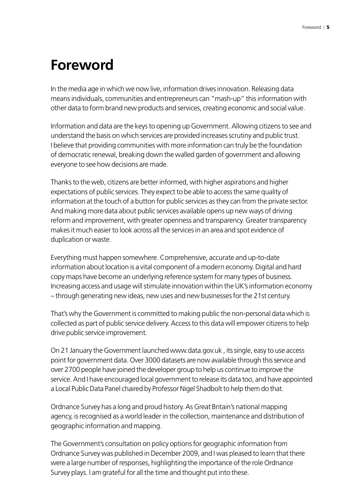## <span id="page-4-0"></span>**Foreword**

In the media age in which we now live, information drives innovation. Releasing data means individuals, communities and entrepreneurs can "mash-up" this information with other data to form brand new products and services, creating economic and social value.

Information and data are the keys to opening up Government. Allowing citizens to see and understand the basis on which services are provided increases scrutiny and public trust. I believe that providing communities with more information can truly be the foundation of democratic renewal, breaking down the walled garden of government and allowing everyone to see how decisions are made.

Thanks to the web, citizens are better informed, with higher aspirations and higher expectations of public services. They expect to be able to access the same quality of information at the touch of a button for public services as they can from the private sector. And making more data about public services available opens up new ways of driving reform and improvement, with greater openness and transparency. Greater transparency makes it much easier to look across all the services in an area and spot evidence of duplication or waste.

Everything must happen somewhere. Comprehensive, accurate and up-to-date information about location is a vital component of a modern economy. Digital and hard copy maps have become an underlying reference system for many types of business. Increasing access and usage will stimulate innovation within the UK's information economy – through generating new ideas, new uses and new businesses for the 21st century.

That's why the Government is committed to making public the non-personal data which is collected as part of public service delivery. Access to this data will empower citizens to help drive public service improvement.

On 21 January the Government launched www.data.gov.uk , its single, easy to use access point for government data. Over 3000 datasets are now available through this service and over 2700 people have joined the developer group to help us continue to improve the service. And I have encouraged local government to release its data too, and have appointed a Local Public Data Panel chaired by Professor Nigel Shadbolt to help them do that.

Ordnance Survey has a long and proud history. As Great Britain's national mapping agency, is recognised as a world leader in the collection, maintenance and distribution of geographic information and mapping.

The Government's consultation on policy options for geographic information from Ordnance Survey was published in December 2009, and I was pleased to learn that there were a large number of responses, highlighting the importance of the role Ordnance Survey plays. I am grateful for all the time and thought put into these.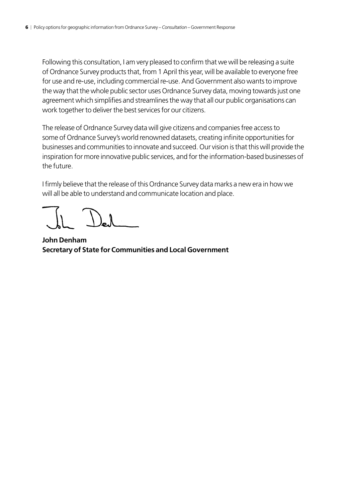Following this consultation, I am very pleased to confirm that we will be releasing a suite of Ordnance Survey products that, from 1 April this year, will be available to everyone free for use and re-use, including commercial re-use. And Government also wants to improve the way that the whole public sector uses Ordnance Survey data, moving towards just one agreement which simplifies and streamlines the way that all our public organisations can work together to deliver the best services for our citizens.

The release of Ordnance Survey data will give citizens and companies free access to some of Ordnance Survey's world renowned datasets, creating infinite opportunities for businesses and communities to innovate and succeed. Our vision is that this will provide the inspiration for more innovative public services, and for the information-based businesses of the future.

I firmly believe that the release of this Ordnance Survey data marks a new era in how we will all be able to understand and communicate location and place.

**John Denham Secretary of State for Communities and Local Government**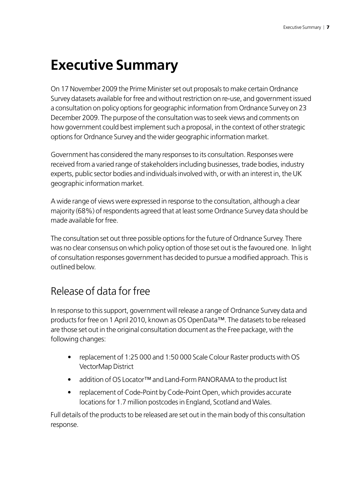## <span id="page-6-0"></span>**Executive Summary**

On 17 November 2009 the Prime Minister set out proposals to make certain Ordnance Survey datasets available for free and without restriction on re-use, and government issued a consultation on policy options for geographic information from Ordnance Survey on 23 December 2009. The purpose of the consultation was to seek views and comments on how government could best implement such a proposal, in the context of other strategic options for Ordnance Survey and the wider geographic information market.

Government has considered the many responses to its consultation. Responses were received from a varied range of stakeholders including businesses, trade bodies, industry experts, public sector bodies and individuals involved with, or with an interest in, the UK geographic information market.

A wide range of views were expressed in response to the consultation, although a clear majority (68%) of respondents agreed that at least some Ordnance Survey data should be made available for free.

The consultation set out three possible options for the future of Ordnance Survey. There was no clear consensus on which policy option of those set out is the favoured one. In light of consultation responses government has decided to pursue a modified approach. This is outlined below.

### Release of data for free

In response to this support, government will release a range of Ordnance Survey data and products for free on 1 April 2010, known as OS OpenData™. The datasets to be released are those set out in the original consultation document as the Free package, with the following changes:

- replacement of 1:25 000 and 1:50 000 Scale Colour Raster products with OS VectorMap District
- addition of OS Locator™ and Land-Form PANORAMA to the product list
- replacement of Code-Point by Code-Point Open, which provides accurate locations for 1.7 million postcodes in England, Scotland and Wales.

Full details of the products to be released are set out in the main body of this consultation response.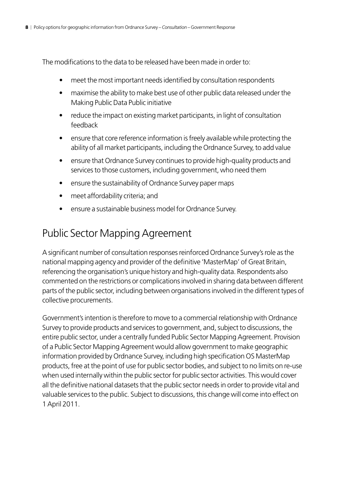The modifications to the data to be released have been made in order to:

- meet the most important needs identified by consultation respondents
- maximise the ability to make best use of other public data released under the Making Public Data Public initiative
- reduce the impact on existing market participants, in light of consultation feedback
- ensure that core reference information is freely available while protecting the ability of all market participants, including the Ordnance Survey, to add value
- ensure that Ordnance Survey continues to provide high-quality products and services to those customers, including government, who need them
- ensure the sustainability of Ordnance Survey paper maps
- meet affordability criteria; and
- ensure a sustainable business model for Ordnance Survey.

### Public Sector Mapping Agreement

A significant number of consultation responses reinforced Ordnance Survey's role as the national mapping agency and provider of the definitive 'MasterMap' of Great Britain, referencing the organisation's unique history and high-quality data. Respondents also commented on the restrictions or complications involved in sharing data between different parts of the public sector, including between organisations involved in the different types of collective procurements.

Government's intention is therefore to move to a commercial relationship with Ordnance Survey to provide products and services to government, and, subject to discussions, the entire public sector, under a centrally funded Public Sector Mapping Agreement. Provision of a Public Sector Mapping Agreement would allow government to make geographic information provided by Ordnance Survey, including high specification OS MasterMap products, free at the point of use for public sector bodies, and subject to no limits on re-use when used internally within the public sector for public sector activities. This would cover all the definitive national datasets that the public sector needs in order to provide vital and valuable services to the public. Subject to discussions, this change will come into effect on 1 April 2011.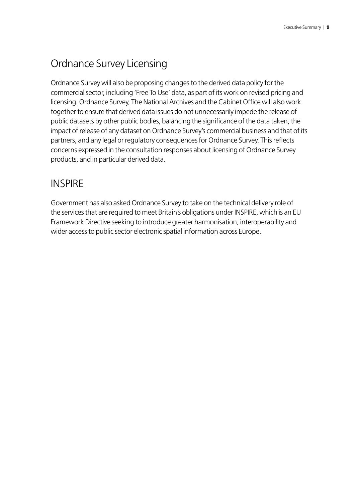## Ordnance Survey Licensing

Ordnance Survey will also be proposing changes to the derived data policy for the commercial sector, including 'Free To Use' data, as part of its work on revised pricing and licensing. Ordnance Survey, The National Archives and the Cabinet Office will also work together to ensure that derived data issues do not unnecessarily impede the release of public datasets by other public bodies, balancing the significance of the data taken, the impact of release of any dataset on Ordnance Survey's commercial business and that of its partners, and any legal or regulatory consequences for Ordnance Survey. This reflects concerns expressed in the consultation responses about licensing of Ordnance Survey products, and in particular derived data.

### **INSPIRE**

Government has also asked Ordnance Survey to take on the technical delivery role of the services that are required to meet Britain's obligations under INSPIRE, which is an EU Framework Directive seeking to introduce greater harmonisation, interoperability and wider access to public sector electronic spatial information across Europe.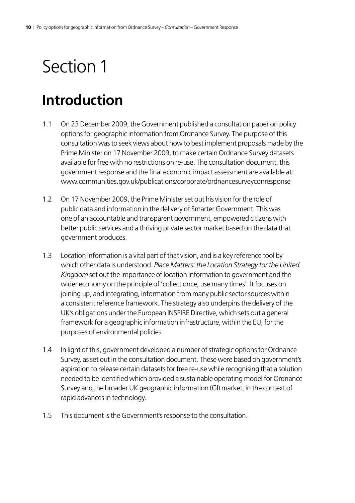## <span id="page-9-0"></span>**Introduction**

- 1.1 On 23 December 2009, the Government published a consultation paper on policy options for geographic information from Ordnance Survey. The purpose of this consultation was to seek views about how to best implement proposals made by the Prime Minister on 17 November 2009, to make certain Ordnance Survey datasets available for free with no restrictions on re-use. The consultation document, this government response and the final economic impact assessment are available at: www.communities.gov.uk/publications/corporate/ordnancesurveyconresponse
- 1.2 On 17 November 2009, the Prime Minister set out his vision for the role of public data and information in the delivery of Smarter Government. This was one of an accountable and transparent government, empowered citizens with better public services and a thriving private sector market based on the data that government produces.
- 1.3 Location information is a vital part of that vision, and is a key reference tool by which other data is understood. *Place Matters: the Location Strategy for the United Kingdom* set out the importance of location information to government and the wider economy on the principle of 'collect once, use many times'. It focuses on joining up, and integrating, information from many public sector sources within a consistent reference framework. The strategy also underpins the delivery of the UK's obligations under the European INSPIRE Directive, which sets out a general framework for a geographic information infrastructure, within the EU, for the purposes of environmental policies.
- 1.4 In light of this, government developed a number of strategic options for Ordnance Survey, as set out in the consultation document. These were based on government's aspiration to release certain datasets for free re-use while recognising that a solution needed to be identified which provided a sustainable operating model for Ordnance Survey and the broader UK geographic information (GI) market, in the context of rapid advances in technology.
- 1.5 This document is the Government's response to the consultation.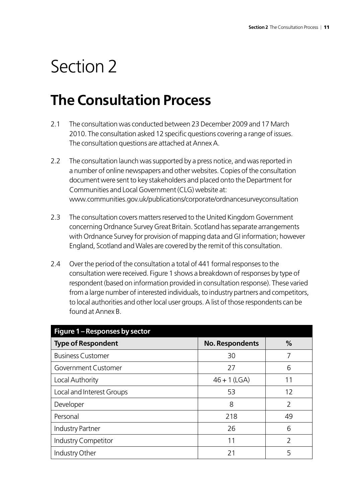## <span id="page-10-0"></span>**The Consultation Process**

- 2.1 The consultation was conducted between 23 December 2009 and 17 March 2010. The consultation asked 12 specific questions covering a range of issues. The consultation questions are attached at Annex A.
- 2.2 The consultation launch was supported by a press notice, and was reported in a number of online newspapers and other websites. Copies of the consultation document were sent to key stakeholders and placed onto the Department for Communities and Local Government (CLG) website at: www.communities.gov.uk/publications/corporate/ordnancesurveyconsultation
- 2.3 The consultation covers matters reserved to the United Kingdom Government concerning Ordnance Survey Great Britain. Scotland has separate arrangements with Ordnance Survey for provision of mapping data and GI information; however England, Scotland and Wales are covered by the remit of this consultation.
- 2.4 Over the period of the consultation a total of 441 formal responses to the consultation were received. Figure 1 shows a breakdown of responses by type of respondent (based on information provided in consultation response). These varied from a large number of interested individuals, to industry partners and competitors, to local authorities and other local user groups. A list of those respondents can be found at Annex B.

| Figure 1 - Responses by sector |                        |               |
|--------------------------------|------------------------|---------------|
| <b>Type of Respondent</b>      | <b>No. Respondents</b> | $\%$          |
| <b>Business Customer</b>       | 30                     |               |
| Government Customer            | 27                     | 6             |
| Local Authority                | $46 + 1$ (LGA)         | 11            |
| Local and Interest Groups      | 53                     | 12            |
| Developer                      | 8                      | $\mathcal{P}$ |
| Personal                       | 218                    | 49            |
| <b>Industry Partner</b>        | 26                     | 6             |
| Industry Competitor            | 11                     | $\mathcal{P}$ |
| Industry Other                 | 21                     | 5             |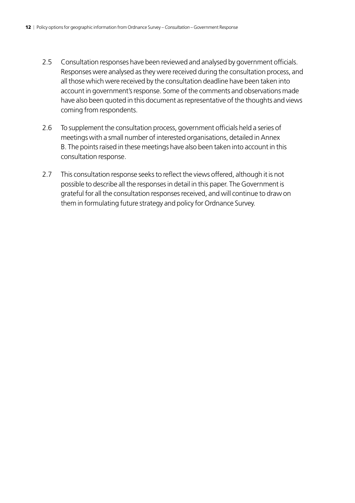- 2.5 Consultation responses have been reviewed and analysed by government officials. Responses were analysed as they were received during the consultation process, and all those which were received by the consultation deadline have been taken into account in government's response. Some of the comments and observations made have also been quoted in this document as representative of the thoughts and views coming from respondents.
- 2.6 To supplement the consultation process, government officials held a series of meetings with a small number of interested organisations, detailed in Annex B. The points raised in these meetings have also been taken into account in this consultation response.
- 2.7 This consultation response seeks to reflect the views offered, although it is not possible to describe all the responses in detail in this paper. The Government is grateful for all the consultation responses received, and will continue to draw on them in formulating future strategy and policy for Ordnance Survey.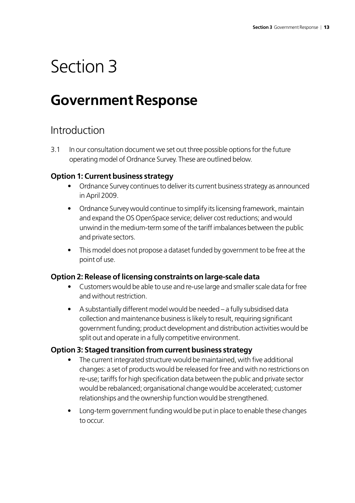## <span id="page-12-0"></span>**Government Response**

### Introduction

3.1 In our consultation document we set out three possible options for the future operating model of Ordnance Survey. These are outlined below.

#### **Option 1: Current business strategy**

- Ordnance Survey continues to deliver its current business strategy as announced in April 2009.
- Ordnance Survey would continue to simplify its licensing framework, maintain and expand the OS OpenSpace service; deliver cost reductions; and would unwind in the medium-term some of the tariff imbalances between the public and private sectors.
- This model does not propose a dataset funded by government to be free at the point of use.

#### **Option 2: Release of licensing constraints on large-scale data**

- Customers would be able to use and re-use large and smaller scale data for free and without restriction.
- A substantially different model would be needed a fully subsidised data collection and maintenance business is likely to result, requiring significant government funding; product development and distribution activities would be split out and operate in a fully competitive environment.

#### **Option 3: Staged transition from current business strategy**

- The current integrated structure would be maintained, with five additional changes: a set of products would be released for free and with no restrictions on re-use; tariffs for high specification data between the public and private sector would be rebalanced; organisational change would be accelerated; customer relationships and the ownership function would be strengthened.
- Long-term government funding would be put in place to enable these changes to occur.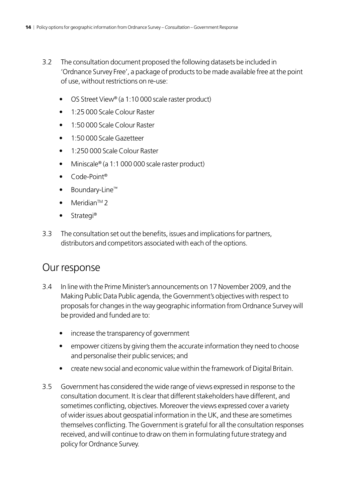- 3.2 The consultation document proposed the following datasets be included in 'Ordnance Survey Free', a package of products to be made available free at the point of use, without restrictions on re-use:
	- OS Street View® (a 1:10 000 scale raster product)
	- 1:25 000 Scale Colour Raster
	- 1:50 000 Scale Colour Raster
	- 1:50 000 Scale Gazetteer
	- 1:250 000 Scale Colour Raster
	- Miniscale® (a 1:1 000 000 scale raster product)
	- Code-Point®
	- Boundary-Line™
	- Meridian<sup>™</sup> 2
	- Strategi<sup>®</sup>
- 3.3 The consultation set out the benefits, issues and implications for partners, distributors and competitors associated with each of the options.

### Our response

- 3.4 In line with the Prime Minister's announcements on 17 November 2009, and the Making Public Data Public agenda, the Government's objectives with respect to proposals for changes in the way geographic information from Ordnance Survey will be provided and funded are to:
	- increase the transparency of government
	- empower citizens by giving them the accurate information they need to choose and personalise their public services; and
	- create new social and economic value within the framework of Digital Britain.
- 3.5 Government has considered the wide range of views expressed in response to the consultation document. It is clear that different stakeholders have different, and sometimes conflicting, objectives. Moreover the views expressed cover a variety of wider issues about geospatial information in the UK, and these are sometimes themselves conflicting. The Government is grateful for all the consultation responses received, and will continue to draw on them in formulating future strategy and policy for Ordnance Survey.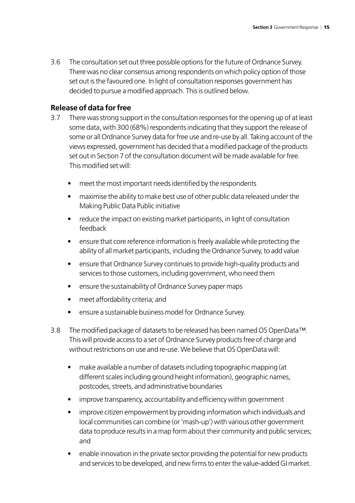3.6 The consultation set out three possible options for the future of Ordnance Survey. There was no clear consensus among respondents on which policy option of those set out is the favoured one. In light of consultation responses government has decided to pursue a modified approach. This is outlined below.

#### **Release of data for free**

- 3.7 There was strong support in the consultation responses for the opening up of at least some data, with 300 (68%) respondents indicating that they support the release of some or all Ordnance Survey data for free use and re-use by all. Taking account of the views expressed, government has decided that a modified package of the products set out in Section 7 of the consultation document will be made available for free. This modified set will:
	- meet the most important needs identified by the respondents
	- maximise the ability to make best use of other public data released under the Making Public Data Public initiative
	- reduce the impact on existing market participants, in light of consultation feedback
	- ensure that core reference information is freely available while protecting the ability of all market participants, including the Ordnance Survey, to add value
	- ensure that Ordnance Survey continues to provide high-quality products and services to those customers, including government, who need them
	- ensure the sustainability of Ordnance Survey paper maps
	- meet affordability criteria; and
	- ensure a sustainable business model for Ordnance Survey.
- 3.8 The modified package of datasets to be released has been named OS OpenData™. This will provide access to a set of Ordnance Survey products free of charge and without restrictions on use and re-use. We believe that OS OpenData will:
	- make available a number of datasets including topographic mapping (at different scales including ground height information), geographic names, postcodes, streets, and administrative boundaries
	- improve transparency, accountability and efficiency within government
	- improve citizen empowerment by providing information which individuals and local communities can combine (or 'mash-up') with various other government data to produce results in a map form about their community and public services; and
	- enable innovation in the private sector providing the potential for new products and services to be developed, and new firms to enter the value-added GI market.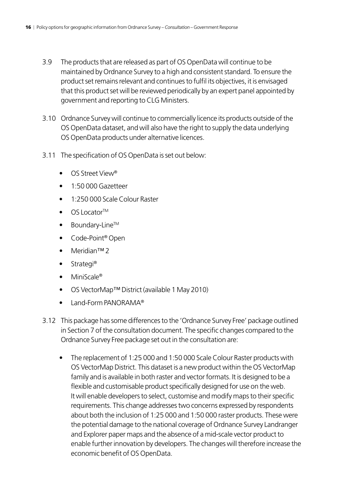- 3.9 The products that are released as part of OS OpenData will continue to be maintained by Ordnance Survey to a high and consistent standard. To ensure the product set remains relevant and continues to fulfil its objectives, it is envisaged that this product set will be reviewed periodically by an expert panel appointed by government and reporting to CLG Ministers.
- 3.10 Ordnance Survey will continue to commercially licence its products outside of the OS OpenData dataset, and will also have the right to supply the data underlying OS OpenData products under alternative licences.
- 3.11 The specification of OS OpenData is set out below:
	- OS Street View®
	- 1:50 000 Gazetteer
	- 1:250 000 Scale Colour Raster
	- OS Locator<sup>™</sup>
	- **Boundary-Line™**
	- Code-Point® Open
	- Meridian™ 2
	- Strategi<sup>®</sup>
	- MiniScale®
	- OS VectorMap™ District (available 1 May 2010)
	- Land-Form PANORAMA®
- 3.12 This package has some differences to the 'Ordnance Survey Free' package outlined in Section 7 of the consultation document. The specific changes compared to the Ordnance Survey Free package set out in the consultation are:
	- The replacement of 1:25 000 and 1:50 000 Scale Colour Raster products with OS VectorMap District. This dataset is a new product within the OS VectorMap family and is available in both raster and vector formats. It is designed to be a flexible and customisable product specifically designed for use on the web. It will enable developers to select, customise and modify maps to their specific requirements. This change addresses two concerns expressed by respondents about both the inclusion of 1:25 000 and 1:50 000 raster products. These were the potential damage to the national coverage of Ordnance Survey Landranger and Explorer paper maps and the absence of a mid-scale vector product to enable further innovation by developers. The changes will therefore increase the economic benefit of OS OpenData.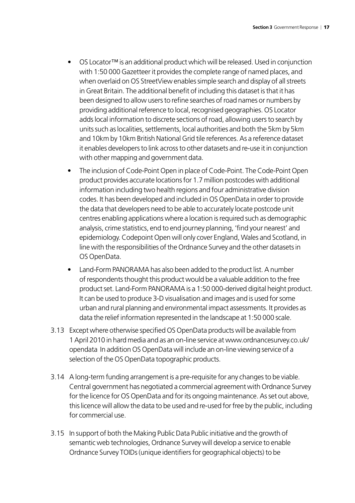- OS Locator™ is an additional product which will be released. Used in conjunction with 1:50 000 Gazetteer it provides the complete range of named places, and when overlaid on OS StreetView enables simple search and display of all streets in Great Britain. The additional benefit of including this dataset is that it has been designed to allow users to refine searches of road names or numbers by providing additional reference to local, recognised geographies. OS Locator adds local information to discrete sections of road, allowing users to search by units such as localities, settlements, local authorities and both the 5km by 5km and 10km by 10km British National Grid tile references. As a reference dataset it enables developers to link across to other datasets and re-use it in conjunction with other mapping and government data.
- The inclusion of Code-Point Open in place of Code-Point. The Code-Point Open product provides accurate locations for 1.7 million postcodes with additional information including two health regions and four administrative division codes. It has been developed and included in OS OpenData in order to provide the data that developers need to be able to accurately locate postcode unit centres enabling applications where a location is required such as demographic analysis, crime statistics, end to end journey planning, 'find your nearest' and epidemiology. Codepoint Open will only cover England, Wales and Scotland, in line with the responsibilities of the Ordnance Survey and the other datasets in OS OpenData.
- Land-Form PANORAMA has also been added to the product list. A number of respondents thought this product would be a valuable addition to the free product set. Land-Form PANORAMA is a 1:50 000-derived digital height product. It can be used to produce 3-D visualisation and images and is used for some urban and rural planning and environmental impact assessments. It provides as data the relief information represented in the landscape at 1:50 000 scale.
- 3.13 Except where otherwise specified OS OpenData products will be available from 1 April 2010 in hard media and as an on-line service at www.ordnancesurvey.co.uk/ opendata In addition OS OpenData will include an on-line viewing service of a selection of the OS OpenData topographic products.
- 3.14 A long-term funding arrangement is a pre-requisite for any changes to be viable. Central government has negotiated a commercial agreement with Ordnance Survey for the licence for OS OpenData and for its ongoing maintenance. As set out above, this licence will allow the data to be used and re-used for free by the public, including for commercial use.
- 3.15 In support of both the Making Public Data Public initiative and the growth of semantic web technologies, Ordnance Survey will develop a service to enable Ordnance Survey TOIDs (unique identifiers for geographical objects) to be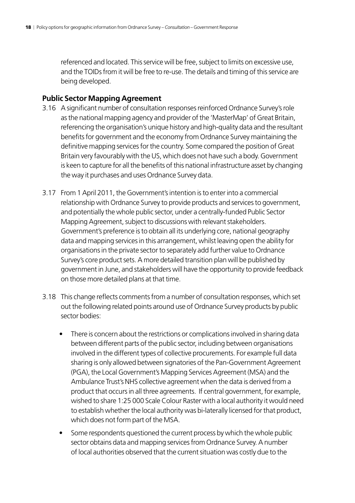referenced and located. This service will be free, subject to limits on excessive use, and the TOIDs from it will be free to re-use. The details and timing of this service are being developed.

#### **Public Sector Mapping Agreement**

- 3.16 A significant number of consultation responses reinforced Ordnance Survey's role as the national mapping agency and provider of the 'MasterMap' of Great Britain, referencing the organisation's unique history and high-quality data and the resultant benefits for government and the economy from Ordnance Survey maintaining the definitive mapping services for the country. Some compared the position of Great Britain very favourably with the US, which does not have such a body. Government is keen to capture for all the benefits of this national infrastructure asset by changing the way it purchases and uses Ordnance Survey data.
- 3.17 From 1 April 2011, the Government's intention is to enter into a commercial relationship with Ordnance Survey to provide products and services to government, and potentially the whole public sector, under a centrally-funded Public Sector Mapping Agreement, subject to discussions with relevant stakeholders. Government's preference is to obtain all its underlying core, national geography data and mapping services in this arrangement, whilst leaving open the ability for organisations in the private sector to separately add further value to Ordnance Survey's core product sets. A more detailed transition plan will be published by government in June, and stakeholders will have the opportunity to provide feedback on those more detailed plans at that time.
- 3.18 This change reflects comments from a number of consultation responses, which set out the following related points around use of Ordnance Survey products by public sector bodies:
	- There is concern about the restrictions or complications involved in sharing data between different parts of the public sector, including between organisations involved in the different types of collective procurements. For example full data sharing is only allowed between signatories of the Pan-Government Agreement (PGA), the Local Government's Mapping Services Agreement (MSA) and the Ambulance Trust's NHS collective agreement when the data is derived from a product that occurs in all three agreements. If central government, for example, wished to share 1:25 000 Scale Colour Raster with a local authority it would need to establish whether the local authority was bi-laterally licensed for that product, which does not form part of the MSA.
	- Some respondents questioned the current process by which the whole public sector obtains data and mapping services from Ordnance Survey. A number of local authorities observed that the current situation was costly due to the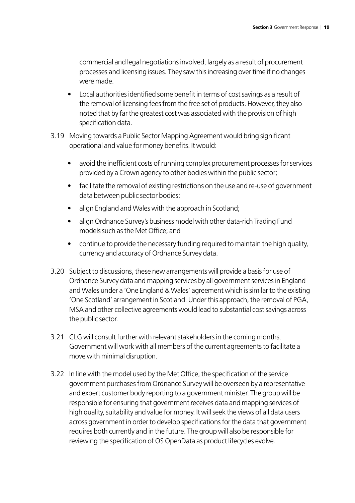commercial and legal negotiations involved, largely as a result of procurement processes and licensing issues. They saw this increasing over time if no changes were made.

- Local authorities identified some benefit in terms of cost savings as a result of the removal of licensing fees from the free set of products. However, they also noted that by far the greatest cost was associated with the provision of high specification data.
- 3.19 Moving towards a Public Sector Mapping Agreement would bring significant operational and value for money benefits. It would:
	- avoid the inefficient costs of running complex procurement processes for services provided by a Crown agency to other bodies within the public sector;
	- facilitate the removal of existing restrictions on the use and re-use of government data between public sector bodies;
	- align England and Wales with the approach in Scotland;
	- align Ordnance Survey's business model with other data-rich Trading Fund models such as the Met Office; and
	- continue to provide the necessary funding required to maintain the high quality, currency and accuracy of Ordnance Survey data.
- 3.20 Subject to discussions, these new arrangements will provide a basis for use of Ordnance Survey data and mapping services by all government services in England and Wales under a 'One England & Wales' agreement which is similar to the existing 'One Scotland' arrangement in Scotland. Under this approach, the removal of PGA, MSA and other collective agreements would lead to substantial cost savings across the public sector.
- 3.21 CLG will consult further with relevant stakeholders in the coming months. Government will work with all members of the current agreements to facilitate a move with minimal disruption.
- 3.22 In line with the model used by the Met Office, the specification of the service government purchases from Ordnance Survey will be overseen by a representative and expert customer body reporting to a government minister. The group will be responsible for ensuring that government receives data and mapping services of high quality, suitability and value for money. It will seek the views of all data users across government in order to develop specifications for the data that government requires both currently and in the future. The group will also be responsible for reviewing the specification of OS OpenData as product lifecycles evolve.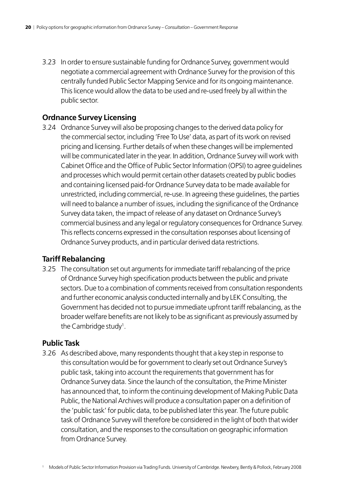3.23 In order to ensure sustainable funding for Ordnance Survey, government would negotiate a commercial agreement with Ordnance Survey for the provision of this centrally funded Public Sector Mapping Service and for its ongoing maintenance. This licence would allow the data to be used and re-used freely by all within the public sector.

#### **Ordnance Survey Licensing**

3.24 Ordnance Survey will also be proposing changes to the derived data policy for the commercial sector, including 'Free To Use' data, as part of its work on revised pricing and licensing. Further details of when these changes will be implemented will be communicated later in the year. In addition, Ordnance Survey will work with Cabinet Office and the Office of Public Sector Information (OPSI) to agree guidelines and processes which would permit certain other datasets created by public bodies and containing licensed paid-for Ordnance Survey data to be made available for unrestricted, including commercial, re-use. In agreeing these guidelines, the parties will need to balance a number of issues, including the significance of the Ordnance Survey data taken, the impact of release of any dataset on Ordnance Survey's commercial business and any legal or regulatory consequences for Ordnance Survey. This reflects concerns expressed in the consultation responses about licensing of Ordnance Survey products, and in particular derived data restrictions.

#### **Tariff Rebalancing**

3.25 The consultation set out arguments for immediate tariff rebalancing of the price of Ordnance Survey high specification products between the public and private sectors. Due to a combination of comments received from consultation respondents and further economic analysis conducted internally and by LEK Consulting, the Government has decided not to pursue immediate upfront tariff rebalancing, as the broader welfare benefits are not likely to be as significant as previously assumed by the Cambridge study<sup>1</sup>.

#### **Public Task**

3.26 As described above, many respondents thought that a key step in response to this consultation would be for government to clearly set out Ordnance Survey's public task, taking into account the requirements that government has for Ordnance Survey data. Since the launch of the consultation, the Prime Minister has announced that, to inform the continuing development of Making Public Data Public, the National Archives will produce a consultation paper on a definition of the 'public task' for public data, to be published later this year. The future public task of Ordnance Survey will therefore be considered in the light of both that wider consultation, and the responses to the consultation on geographic information from Ordnance Survey.

<sup>1</sup> Models of Public Sector Information Provision via Trading Funds. University of Cambridge. Newbery, Bently & Pollock, February 2008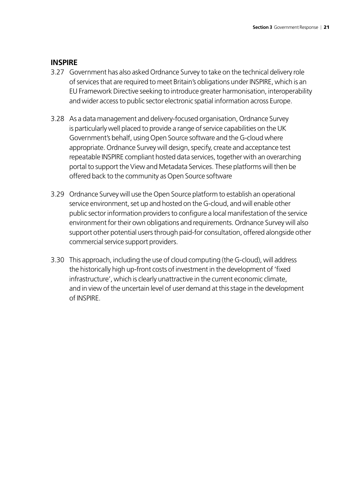#### **INSPIRE**

- 3.27 Government has also asked Ordnance Survey to take on the technical delivery role of services that are required to meet Britain's obligations under INSPIRE, which is an EU Framework Directive seeking to introduce greater harmonisation, interoperability and wider access to public sector electronic spatial information across Europe.
- 3.28 As a data management and delivery-focused organisation, Ordnance Survey is particularly well placed to provide a range of service capabilities on the UK Government's behalf, using Open Source software and the G-cloud where appropriate. Ordnance Survey will design, specify, create and acceptance test repeatable INSPIRE compliant hosted data services, together with an overarching portal to support the View and Metadata Services. These platforms will then be offered back to the community as Open Source software
- 3.29 Ordnance Survey will use the Open Source platform to establish an operational service environment, set up and hosted on the G-cloud, and will enable other public sector information providers to configure a local manifestation of the service environment for their own obligations and requirements. Ordnance Survey will also support other potential users through paid-for consultation, offered alongside other commercial service support providers.
- 3.30 This approach, including the use of cloud computing (the G-cloud), will address the historically high up-front costs of investment in the development of 'fixed infrastructure', which is clearly unattractive in the current economic climate, and in view of the uncertain level of user demand at this stage in the development of INSPIRE.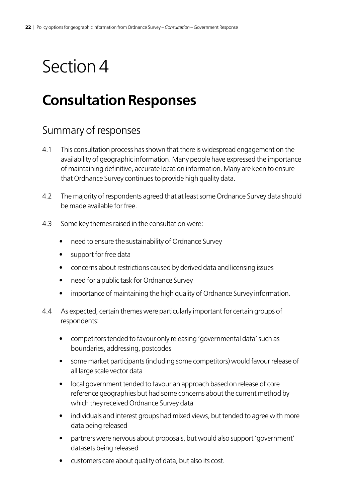## <span id="page-21-0"></span>**Consultation Responses**

### Summary of responses

- 4.1 This consultation process has shown that there is widespread engagement on the availability of geographic information. Many people have expressed the importance of maintaining definitive, accurate location information. Many are keen to ensure that Ordnance Survey continues to provide high quality data.
- 4.2 The majority of respondents agreed that at least some Ordnance Survey data should be made available for free.
- 4.3 Some key themes raised in the consultation were:
	- need to ensure the sustainability of Ordnance Survey
	- support for free data
	- concerns about restrictions caused by derived data and licensing issues
	- need for a public task for Ordnance Survey
	- importance of maintaining the high quality of Ordnance Survey information.
- 4.4 As expected, certain themes were particularly important for certain groups of respondents:
	- competitors tended to favour only releasing 'governmental data' such as boundaries, addressing, postcodes
	- some market participants (including some competitors) would favour release of all large scale vector data
	- local government tended to favour an approach based on release of core reference geographies but had some concerns about the current method by which they received Ordnance Survey data
	- individuals and interest groups had mixed views, but tended to agree with more data being released
	- partners were nervous about proposals, but would also support 'government' datasets being released
	- customers care about quality of data, but also its cost.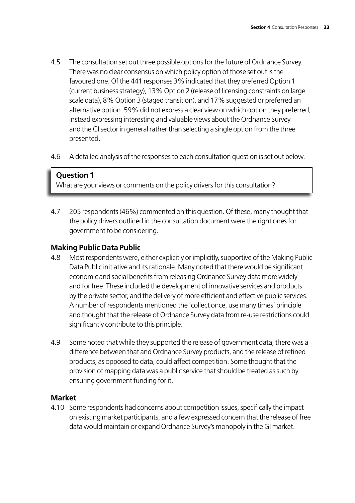- 4.5 The consultation set out three possible options for the future of Ordnance Survey. There was no clear consensus on which policy option of those set out is the favoured one. Of the 441 responses 3% indicated that they preferred Option 1 (current business strategy), 13% Option 2 (release of licensing constraints on large scale data), 8% Option 3 (staged transition), and 17% suggested or preferred an alternative option. 59% did not express a clear view on which option they preferred, instead expressing interesting and valuable views about the Ordnance Survey and the GI sector in general rather than selecting a single option from the three presented.
- 4.6 A detailed analysis of the responses to each consultation question is set out below.

What are your views or comments on the policy drivers for this consultation?

4.7 205 respondents (46%) commented on this question. Of these, many thought that the policy drivers outlined in the consultation document were the right ones for government to be considering.

#### **Making Public Data Public**

- 4.8 Most respondents were, either explicitly or implicitly, supportive of the Making Public Data Public initiative and its rationale. Many noted that there would be significant economic and social benefits from releasing Ordnance Survey data more widely and for free. These included the development of innovative services and products by the private sector, and the delivery of more efficient and effective public services. A number of respondents mentioned the 'collect once, use many times' principle and thought that the release of Ordnance Survey data from re-use restrictions could significantly contribute to this principle.
- 4.9 Some noted that while they supported the release of government data, there was a difference between that and Ordnance Survey products, and the release of refined products, as opposed to data, could affect competition. Some thought that the provision of mapping data was a public service that should be treated as such by ensuring government funding for it.

#### **Market**

4.10 Some respondents had concerns about competition issues, specifically the impact on existing market participants, and a few expressed concern that the release of free data would maintain or expand Ordnance Survey's monopoly in the GI market.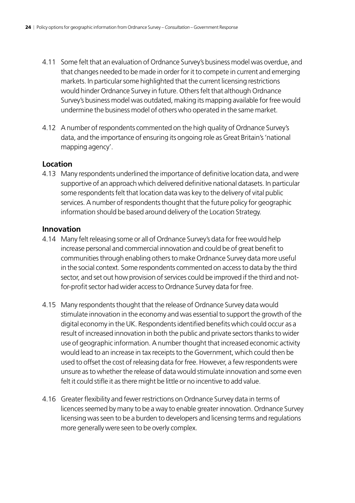- 4.11 Some felt that an evaluation of Ordnance Survey's business model was overdue, and that changes needed to be made in order for it to compete in current and emerging markets. In particular some highlighted that the current licensing restrictions would hinder Ordnance Survey in future. Others felt that although Ordnance Survey's business model was outdated, making its mapping available for free would undermine the business model of others who operated in the same market.
- 4.12 A number of respondents commented on the high quality of Ordnance Survey's data, and the importance of ensuring its ongoing role as Great Britain's 'national mapping agency'.

#### **Location**

4.13 Many respondents underlined the importance of definitive location data, and were supportive of an approach which delivered definitive national datasets. In particular some respondents felt that location data was key to the delivery of vital public services. A number of respondents thought that the future policy for geographic information should be based around delivery of the Location Strategy.

#### **Innovation**

- 4.14 Many felt releasing some or all of Ordnance Survey's data for free would help increase personal and commercial innovation and could be of great benefit to communities through enabling others to make Ordnance Survey data more useful in the social context. Some respondents commented on access to data by the third sector, and set out how provision of services could be improved if the third and notfor-profit sector had wider access to Ordnance Survey data for free.
- 4.15 Many respondents thought that the release of Ordnance Survey data would stimulate innovation in the economy and was essential to support the growth of the digital economy in the UK. Respondents identified benefits which could occur as a result of increased innovation in both the public and private sectors thanks to wider use of geographic information. A number thought that increased economic activity would lead to an increase in tax receipts to the Government, which could then be used to offset the cost of releasing data for free. However, a few respondents were unsure as to whether the release of data would stimulate innovation and some even felt it could stifle it as there might be little or no incentive to add value.
- 4.16 Greater flexibility and fewer restrictions on Ordnance Survey data in terms of licences seemed by many to be a way to enable greater innovation. Ordnance Survey licensing was seen to be a burden to developers and licensing terms and regulations more generally were seen to be overly complex.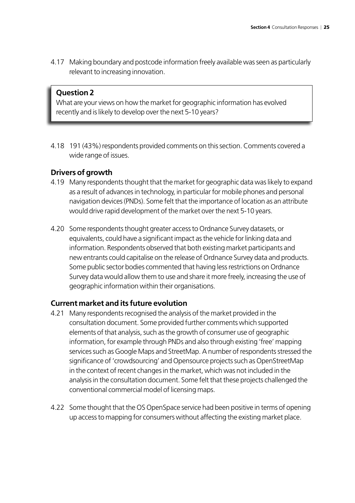4.17 Making boundary and postcode information freely available was seen as particularly relevant to increasing innovation.

#### **Question 2**

What are your views on how the market for geographic information has evolved recently and is likely to develop over the next 5-10 years?

4.18 191 (43%) respondents provided comments on this section. Comments covered a wide range of issues.

#### **Drivers of growth**

- 4.19 Many respondents thought that the market for geographic data was likely to expand as a result of advances in technology, in particular for mobile phones and personal navigation devices (PNDs). Some felt that the importance of location as an attribute would drive rapid development of the market over the next 5-10 years.
- 4.20 Some respondents thought greater access to Ordnance Survey datasets, or equivalents, could have a significant impact as the vehicle for linking data and information. Respondents observed that both existing market participants and new entrants could capitalise on the release of Ordnance Survey data and products. Some public sector bodies commented that having less restrictions on Ordnance Survey data would allow them to use and share it more freely, increasing the use of geographic information within their organisations.

#### **Current market and its future evolution**

- 4.21 Many respondents recognised the analysis of the market provided in the consultation document. Some provided further comments which supported elements of that analysis, such as the growth of consumer use of geographic information, for example through PNDs and also through existing 'free' mapping services such as Google Maps and StreetMap. A number of respondents stressed the significance of 'crowdsourcing' and Opensource projects such as OpenStreetMap in the context of recent changes in the market, which was not included in the analysis in the consultation document. Some felt that these projects challenged the conventional commercial model of licensing maps.
- 4.22 Some thought that the OS OpenSpace service had been positive in terms of opening up access to mapping for consumers without affecting the existing market place.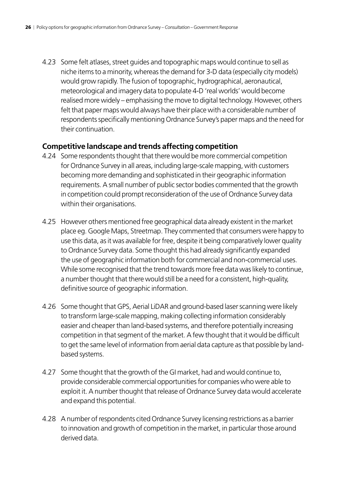4.23 Some felt atlases, street guides and topographic maps would continue to sell as niche items to a minority, whereas the demand for 3-D data (especially city models) would grow rapidly. The fusion of topographic, hydrographical, aeronautical, meteorological and imagery data to populate 4-D 'real worlds' would become realised more widely – emphasising the move to digital technology. However, others felt that paper maps would always have their place with a considerable number of respondents specifically mentioning Ordnance Survey's paper maps and the need for their continuation.

#### **Competitive landscape and trends affecting competition**

- 4.24 Some respondents thought that there would be more commercial competition for Ordnance Survey in all areas, including large-scale mapping, with customers becoming more demanding and sophisticated in their geographic information requirements. A small number of public sector bodies commented that the growth in competition could prompt reconsideration of the use of Ordnance Survey data within their organisations.
- 4.25 However others mentioned free geographical data already existent in the market place eg. Google Maps, Streetmap. They commented that consumers were happy to use this data, as it was available for free, despite it being comparatively lower quality to Ordnance Survey data. Some thought this had already significantly expanded the use of geographic information both for commercial and non-commercial uses. While some recognised that the trend towards more free data was likely to continue, a number thought that there would still be a need for a consistent, high-quality, definitive source of geographic information.
- 4.26 Some thought that GPS, Aerial LiDAR and ground-based laser scanning were likely to transform large-scale mapping, making collecting information considerably easier and cheaper than land-based systems, and therefore potentially increasing competition in that segment of the market. A few thought that it would be difficult to get the same level of information from aerial data capture as that possible by landbased systems.
- 4.27 Some thought that the growth of the GI market, had and would continue to, provide considerable commercial opportunities for companies who were able to exploit it. A number thought that release of Ordnance Survey data would accelerate and expand this potential.
- 4.28 A number of respondents cited Ordnance Survey licensing restrictions as a barrier to innovation and growth of competition in the market, in particular those around derived data.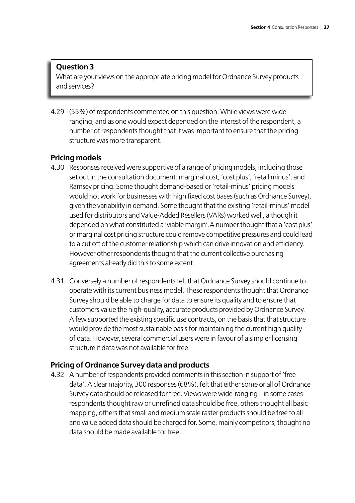What are your views on the appropriate pricing model for Ordnance Survey products and services?

4.29 (55%) of respondents commented on this question. While views were wideranging, and as one would expect depended on the interest of the respondent, a number of respondents thought that it was important to ensure that the pricing structure was more transparent.

#### **Pricing models**

- 4.30 Responses received were supportive of a range of pricing models, including those set out in the consultation document: marginal cost; 'cost plus'; 'retail minus'; and Ramsey pricing. Some thought demand-based or 'retail-minus' pricing models would not work for businesses with high fixed cost bases (such as Ordnance Survey), given the variability in demand. Some thought that the existing 'retail-minus' model used for distributors and Value-Added Resellers (VARs) worked well, although it depended on what constituted a 'viable margin'.A number thought that a 'cost plus' or marginal cost pricing structure could remove competitive pressures and could lead to a cut off of the customer relationship which can drive innovation and efficiency. However other respondents thought that the current collective purchasing agreements already did this to some extent.
- 4.31 Conversely a number of respondents felt that Ordnance Survey should continue to operate with its current business model. These respondents thought that Ordnance Survey should be able to charge for data to ensure its quality and to ensure that customers value the high-quality, accurate products provided by Ordnance Survey. A few supported the existing specific use contracts, on the basis that that structure would provide the most sustainable basis for maintaining the current high quality of data. However, several commercial users were in favour of a simpler licensing structure if data was not available for free.

#### **Pricing of Ordnance Survey data and products**

4.32 A number of respondents provided comments in this section in support of 'free data'. A clear majority, 300 responses (68%), felt that either some or all of Ordnance Survey data should be released for free. Views were wide-ranging – in some cases respondents thought raw or unrefined data should be free, others thought all basic mapping, others that small and medium scale raster products should be free to all and value added data should be charged for. Some, mainly competitors, thought no data should be made available for free.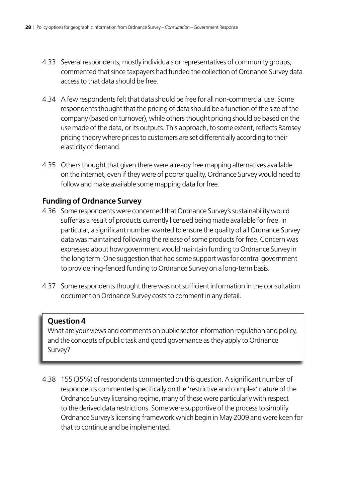- 4.33 Several respondents, mostly individuals or representatives of community groups, commented that since taxpayers had funded the collection of Ordnance Survey data access to that data should be free.
- 4.34 A few respondents felt that data should be free for all non-commercial use. Some respondents thought that the pricing of data should be a function of the size of the company (based on turnover), while others thought pricing should be based on the use made of the data, or its outputs. This approach, to some extent, reflects Ramsey pricing theory where prices to customers are set differentially according to their elasticity of demand.
- 4.35 Others thought that given there were already free mapping alternatives available on the internet, even if they were of poorer quality, Ordnance Survey would need to follow and make available some mapping data for free.

#### **Funding of Ordnance Survey**

- 4.36 Some respondents were concerned that Ordnance Survey's sustainability would suffer as a result of products currently licensed being made available for free. In particular, a significant number wanted to ensure the quality of all Ordnance Survey data was maintained following the release of some products for free. Concern was expressed about how government would maintain funding to Ordnance Survey in the long term. One suggestion that had some support was for central government to provide ring-fenced funding to Ordnance Survey on a long-term basis.
- 4.37 Some respondents thought there was not sufficient information in the consultation document on Ordnance Survey costs to comment in any detail.

#### **Question 4**

What are your views and comments on public sector information regulation and policy, and the concepts of public task and good governance as they apply to Ordnance Survey?

4.38 155 (35%) of respondents commented on this question. A significant number of respondents commented specifically on the 'restrictive and complex' nature of the Ordnance Survey licensing regime, many of these were particularly with respect to the derived data restrictions. Some were supportive of the process to simplify Ordnance Survey's licensing framework which begin in May 2009 and were keen for that to continue and be implemented.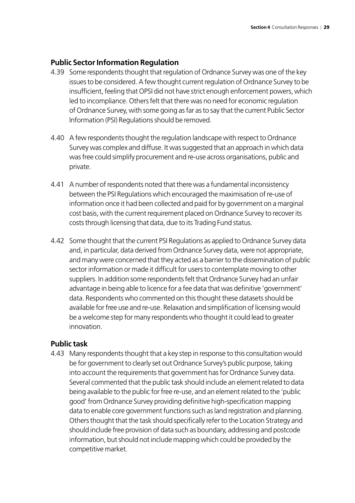#### **Public Sector Information Regulation**

- 4.39 Some respondents thought that regulation of Ordnance Survey was one of the key issues to be considered. A few thought current regulation of Ordnance Survey to be insufficient, feeling that OPSI did not have strict enough enforcement powers, which led to incompliance. Others felt that there was no need for economic regulation of Ordnance Survey, with some going as far as to say that the current Public Sector Information (PSI) Regulations should be removed.
- 4.40 A few respondents thought the regulation landscape with respect to Ordnance Survey was complex and diffuse. It was suggested that an approach in which data was free could simplify procurement and re-use across organisations, public and private.
- 4.41 A number of respondents noted that there was a fundamental inconsistency between the PSI Regulations which encouraged the maximisation of re-use of information once it had been collected and paid for by government on a marginal cost basis, with the current requirement placed on Ordnance Survey to recover its costs through licensing that data, due to its Trading Fund status.
- 4.42 Some thought that the current PSI Regulations as applied to Ordnance Survey data and, in particular, data derived from Ordnance Survey data, were not appropriate, and many were concerned that they acted as a barrier to the dissemination of public sector information or made it difficult for users to contemplate moving to other suppliers. In addition some respondents felt that Ordnance Survey had an unfair advantage in being able to licence for a fee data that was definitive 'government' data. Respondents who commented on this thought these datasets should be available for free use and re-use. Relaxation and simplification of licensing would be a welcome step for many respondents who thought it could lead to greater innovation.

#### **Public task**

4.43 Many respondents thought that a key step in response to this consultation would be for government to clearly set out Ordnance Survey's public purpose, taking into account the requirements that government has for Ordnance Survey data. Several commented that the public task should include an element related to data being available to the public for free re-use, and an element related to the 'public good' from Ordnance Survey providing definitive high-specification mapping data to enable core government functions such as land registration and planning. Others thought that the task should specifically refer to the Location Strategy and should include free provision of data such as boundary, addressing and postcode information, but should not include mapping which could be provided by the competitive market.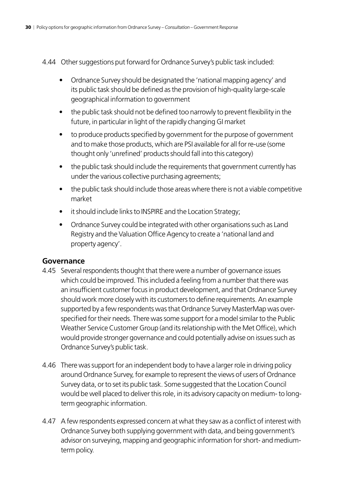- 4.44 Other suggestions put forward for Ordnance Survey's public task included:
	- Ordnance Survey should be designated the 'national mapping agency' and its public task should be defined as the provision of high-quality large-scale geographical information to government
	- the public task should not be defined too narrowly to prevent flexibility in the future, in particular in light of the rapidly changing GI market
	- to produce products specified by government for the purpose of government and to make those products, which are PSI available for all for re-use (some thought only 'unrefined' products should fall into this category)
	- the public task should include the requirements that government currently has under the various collective purchasing agreements;
	- the public task should include those areas where there is not a viable competitive market
	- it should include links to INSPIRE and the Location Strategy;
	- Ordnance Survey could be integrated with other organisations such as Land Registry and the Valuation Office Agency to create a 'national land and property agency'.

#### **Governance**

- 4.45 Several respondents thought that there were a number of governance issues which could be improved. This included a feeling from a number that there was an insufficient customer focus in product development, and that Ordnance Survey should work more closely with its customers to define requirements. An example supported by a few respondents was that Ordnance Survey MasterMap was overspecified for their needs. There was some support for a model similar to the Public Weather Service Customer Group (and its relationship with the Met Office), which would provide stronger governance and could potentially advise on issues such as Ordnance Survey's public task.
- 4.46 There was support for an independent body to have a larger role in driving policy around Ordnance Survey, for example to represent the views of users of Ordnance Survey data, or to set its public task. Some suggested that the Location Council would be well placed to deliver this role, in its advisory capacity on medium- to longterm geographic information.
- 4.47 A few respondents expressed concern at what they saw as a conflict of interest with Ordnance Survey both supplying government with data, and being government's advisor on surveying, mapping and geographic information for short- and mediumterm policy.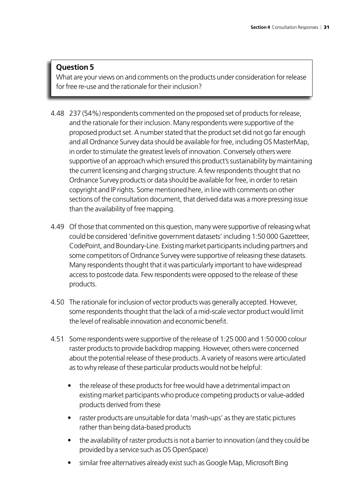What are your views on and comments on the products under consideration for release for free re-use and the rationale for their inclusion?

- 4.48 237 (54%) respondents commented on the proposed set of products for release, and the rationale for their inclusion. Many respondents were supportive of the proposed product set. A number stated that the product set did not go far enough and all Ordnance Survey data should be available for free, including OS MasterMap, in order to stimulate the greatest levels of innovation. Conversely others were supportive of an approach which ensured this product's sustainability by maintaining the current licensing and charging structure. A few respondents thought that no Ordnance Survey products or data should be available for free, in order to retain copyright and IP rights. Some mentioned here, in line with comments on other sections of the consultation document, that derived data was a more pressing issue than the availability of free mapping.
- 4.49 Of those that commented on this question, many were supportive of releasing what could be considered 'definitive government datasets' including 1:50 000 Gazetteer, CodePoint, and Boundary-Line. Existing market participants including partners and some competitors of Ordnance Survey were supportive of releasing these datasets. Many respondents thought that it was particularly important to have widespread access to postcode data. Few respondents were opposed to the release of these products.
- 4.50 The rationale for inclusion of vector products was generally accepted. However, some respondents thought that the lack of a mid-scale vector product would limit the level of realisable innovation and economic benefit.
- 4.51 Some respondents were supportive of the release of 1:25 000 and 1:50 000 colour raster products to provide backdrop mapping. However, others were concerned about the potential release of these products. A variety of reasons were articulated as to why release of these particular products would not be helpful:
	- the release of these products for free would have a detrimental impact on existing market participants who produce competing products or value-added products derived from these
	- raster products are unsuitable for data 'mash-ups' as they are static pictures rather than being data-based products
	- the availability of raster products is not a barrier to innovation (and they could be provided by a service such as OS OpenSpace)
	- similar free alternatives already exist such as Google Map, Microsoft Bing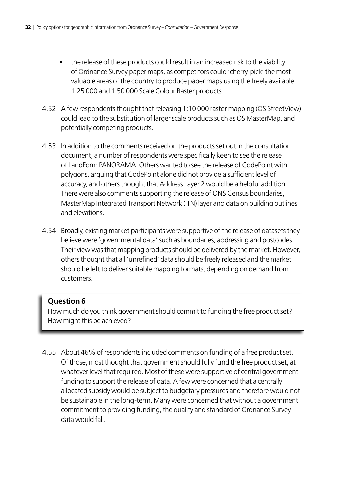- the release of these products could result in an increased risk to the viability of Ordnance Survey paper maps, as competitors could 'cherry-pick' the most valuable areas of the country to produce paper maps using the freely available 1:25 000 and 1:50 000 Scale Colour Raster products.
- 4.52 A few respondents thought that releasing 1:10 000 raster mapping (OS StreetView) could lead to the substitution of larger scale products such as OS MasterMap, and potentially competing products.
- 4.53 In addition to the comments received on the products set out in the consultation document, a number of respondents were specifically keen to see the release of LandForm PANORAMA. Others wanted to see the release of CodePoint with polygons, arguing that CodePoint alone did not provide a sufficient level of accuracy, and others thought that Address Layer 2 would be a helpful addition. There were also comments supporting the release of ONS Census boundaries, MasterMap Integrated Transport Network (ITN) layer and data on building outlines and elevations.
- 4.54 Broadly, existing market participants were supportive of the release of datasets they believe were 'governmental data' such as boundaries, addressing and postcodes. Their view was that mapping products should be delivered by the market. However, others thought that all 'unrefined' data should be freely released and the market should be left to deliver suitable mapping formats, depending on demand from customers.

How much do you think government should commit to funding the free product set? How might this be achieved?

4.55 About 46% of respondents included comments on funding of a free product set. Of those, most thought that government should fully fund the free product set, at whatever level that required. Most of these were supportive of central government funding to support the release of data. A few were concerned that a centrally allocated subsidy would be subject to budgetary pressures and therefore would not be sustainable in the long-term. Many were concerned that without a government commitment to providing funding, the quality and standard of Ordnance Survey data would fall.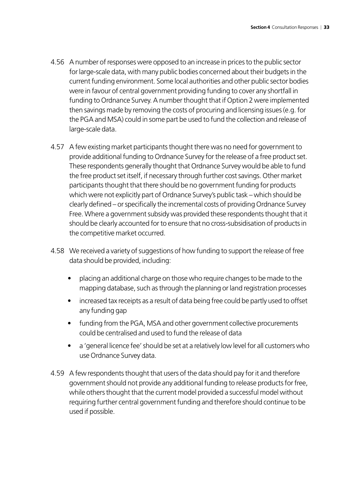- 4.56 A number of responses were opposed to an increase in prices to the public sector for large-scale data, with many public bodies concerned about their budgets in the current funding environment. Some local authorities and other public sector bodies were in favour of central government providing funding to cover any shortfall in funding to Ordnance Survey. A number thought that if Option 2 were implemented then savings made by removing the costs of procuring and licensing issues (e.g. for the PGA and MSA) could in some part be used to fund the collection and release of large-scale data.
- 4.57 A few existing market participants thought there was no need for government to provide additional funding to Ordnance Survey for the release of a free product set. These respondents generally thought that Ordnance Survey would be able to fund the free product set itself, if necessary through further cost savings. Other market participants thought that there should be no government funding for products which were not explicitly part of Ordnance Survey's public task – which should be clearly defined – or specifically the incremental costs of providing Ordnance Survey Free. Where a government subsidy was provided these respondents thought that it should be clearly accounted for to ensure that no cross-subsidisation of products in the competitive market occurred.
- 4.58 We received a variety of suggestions of how funding to support the release of free data should be provided, including:
	- placing an additional charge on those who require changes to be made to the mapping database, such as through the planning or land registration processes
	- increased tax receipts as a result of data being free could be partly used to offset any funding gap
	- funding from the PGA, MSA and other government collective procurements could be centralised and used to fund the release of data
	- a 'general licence fee' should be set at a relatively low level for all customers who use Ordnance Survey data.
- 4.59 A few respondents thought that users of the data should pay for it and therefore government should not provide any additional funding to release products for free, while others thought that the current model provided a successful model without requiring further central government funding and therefore should continue to be used if possible.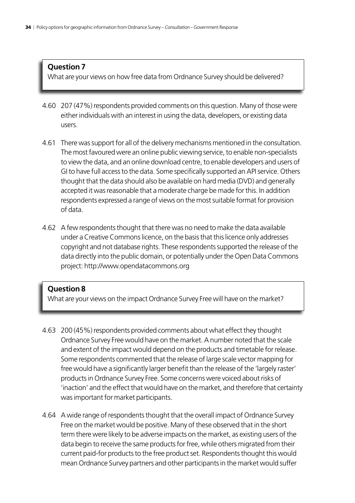What are your views on how free data from Ordnance Survey should be delivered?

- 4.60 207 (47%) respondents provided comments on this question. Many of those were either individuals with an interest in using the data, developers, or existing data users.
- 4.61 There was support for all of the delivery mechanisms mentioned in the consultation. The most favoured were an online public viewing service, to enable non-specialists to view the data, and an online download centre, to enable developers and users of GI to have full access to the data. Some specifically supported an API service. Others thought that the data should also be available on hard media (DVD) and generally accepted it was reasonable that a moderate charge be made for this. In addition respondents expressed a range of views on the most suitable format for provision of data.
- 4.62 A few respondents thought that there was no need to make the data available under a Creative Commons licence, on the basis that this licence only addresses copyright and not database rights. These respondents supported the release of the data directly into the public domain, or potentially under the Open Data Commons project: http://www.opendatacommons.org

#### **Question 8**

What are your views on the impact Ordnance Survey Free will have on the market?

- 4.63 200 (45%) respondents provided comments about what effect they thought Ordnance Survey Free would have on the market. A number noted that the scale and extent of the impact would depend on the products and timetable for release. Some respondents commented that the release of large scale vector mapping for free would have a significantly larger benefit than the release of the 'largely raster' products in Ordnance Survey Free. Some concerns were voiced about risks of 'inaction' and the effect that would have on the market, and therefore that certainty was important for market participants.
- 4.64 A wide range of respondents thought that the overall impact of Ordnance Survey Free on the market would be positive. Many of these observed that in the short term there were likely to be adverse impacts on the market, as existing users of the data begin to receive the same products for free, while others migrated from their current paid-for products to the free product set. Respondents thought this would mean Ordnance Survey partners and other participants in the market would suffer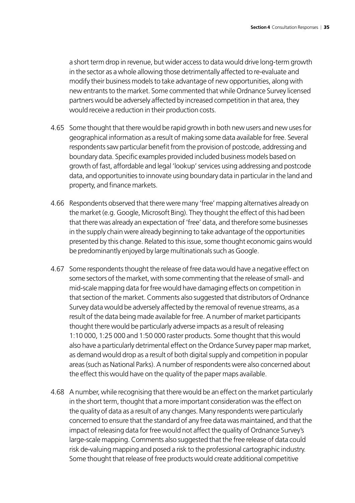a short term drop in revenue, but wider access to data would drive long-term growth in the sector as a whole allowing those detrimentally affected to re-evaluate and modify their business models to take advantage of new opportunities, along with new entrants to the market. Some commented that while Ordnance Survey licensed partners would be adversely affected by increased competition in that area, they would receive a reduction in their production costs.

- 4.65 Some thought that there would be rapid growth in both new users and new uses for geographical information as a result of making some data available for free. Several respondents saw particular benefit from the provision of postcode, addressing and boundary data. Specific examples provided included business models based on growth of fast, affordable and legal 'lookup' services using addressing and postcode data, and opportunities to innovate using boundary data in particular in the land and property, and finance markets.
- 4.66 Respondents observed that there were many 'free' mapping alternatives already on the market (e.g. Google, Microsoft Bing). They thought the effect of this had been that there was already an expectation of 'free' data, and therefore some businesses in the supply chain were already beginning to take advantage of the opportunities presented by this change. Related to this issue, some thought economic gains would be predominantly enjoyed by large multinationals such as Google.
- 4.67 Some respondents thought the release of free data would have a negative effect on some sectors of the market, with some commenting that the release of small- and mid-scale mapping data for free would have damaging effects on competition in that section of the market. Comments also suggested that distributors of Ordnance Survey data would be adversely affected by the removal of revenue streams, as a result of the data being made available for free. A number of market participants thought there would be particularly adverse impacts as a result of releasing 1:10 000, 1:25 000 and 1:50 000 raster products. Some thought that this would also have a particularly detrimental effect on the Ordance Survey paper map market, as demand would drop as a result of both digital supply and competition in popular areas (such as National Parks). A number of respondents were also concerned about the effect this would have on the quality of the paper maps available.
- 4.68 A number, while recognising that there would be an effect on the market particularly in the short term, thought that a more important consideration was the effect on the quality of data as a result of any changes. Many respondents were particularly concerned to ensure that the standard of any free data was maintained, and that the impact of releasing data for free would not affect the quality of Ordnance Survey's large-scale mapping. Comments also suggested that the free release of data could risk de-valuing mapping and posed a risk to the professional cartographic industry. Some thought that release of free products would create additional competitive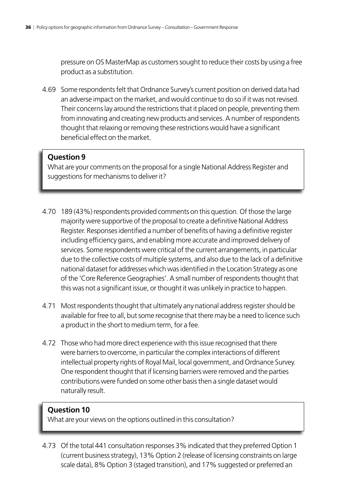pressure on OS MasterMap as customers sought to reduce their costs by using a free product as a substitution.

4.69 Some respondents felt that Ordnance Survey's current position on derived data had an adverse impact on the market, and would continue to do so if it was not revised. Their concerns lay around the restrictions that it placed on people, preventing them from innovating and creating new products and services. A number of respondents thought that relaxing or removing these restrictions would have a significant beneficial effect on the market.

#### **Question 9**

What are your comments on the proposal for a single National Address Register and suggestions for mechanisms to deliver it?

- 4.70 189 (43%) respondents provided comments on this question. Of those the large majority were supportive of the proposal to create a definitive National Address Register. Responses identified a number of benefits of having a definitive register including efficiency gains, and enabling more accurate and improved delivery of services. Some respondents were critical of the current arrangements, in particular due to the collective costs of multiple systems, and also due to the lack of a definitive national dataset for addresses which was identified in the Location Strategy as one of the 'Core Reference Geographies'. A small number of respondents thought that this was not a significant issue, or thought it was unlikely in practice to happen.
- 4.71 Most respondents thought that ultimately any national address register should be available for free to all, but some recognise that there may be a need to licence such a product in the short to medium term, for a fee.
- 4.72 Those who had more direct experience with this issue recognised that there were barriers to overcome, in particular the complex interactions of different intellectual property rights of Royal Mail, local government, and Ordnance Survey. One respondent thought that if licensing barriers were removed and the parties contributions were funded on some other basis then a single dataset would naturally result.

#### **Question 10**

What are your views on the options outlined in this consultation?

4.73 Of the total 441 consultation responses 3% indicated that they preferred Option 1 (current business strategy), 13% Option 2 (release of licensing constraints on large scale data), 8% Option 3 (staged transition), and 17% suggested or preferred an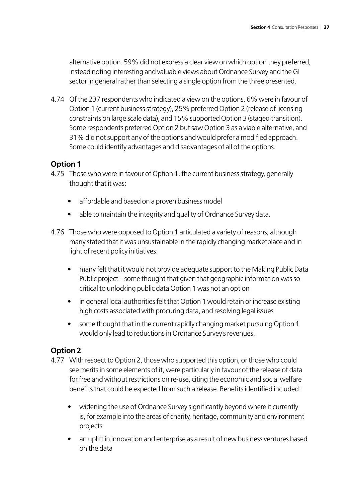alternative option. 59% did not express a clear view on which option they preferred, instead noting interesting and valuable views about Ordnance Survey and the GI sector in general rather than selecting a single option from the three presented.

4.74 Of the 237 respondents who indicated a view on the options, 6% were in favour of Option 1 (current business strategy), 25% preferred Option 2 (release of licensing constraints on large scale data), and 15% supported Option 3 (staged transition). Some respondents preferred Option 2 but saw Option 3 as a viable alternative, and 31% did not support any of the options and would prefer a modified approach. Some could identify advantages and disadvantages of all of the options.

#### **Option 1**

- 4.75 Those who were in favour of Option 1, the current business strategy, generally thought that it was:
	- affordable and based on a proven business model
	- able to maintain the integrity and quality of Ordnance Survey data.
- 4.76 Those who were opposed to Option 1 articulated a variety of reasons, although many stated that it was unsustainable in the rapidly changing marketplace and in light of recent policy initiatives:
	- many felt that it would not provide adequate support to the Making Public Data Public project – some thought that given that geographic information was so critical to unlocking public data Option 1 was not an option
	- in general local authorities felt that Option 1 would retain or increase existing high costs associated with procuring data, and resolving legal issues
	- some thought that in the current rapidly changing market pursuing Option 1 would only lead to reductions in Ordnance Survey's revenues.

#### **Option 2**

- 4.77 With respect to Option 2, those who supported this option, or those who could see merits in some elements of it, were particularly in favour of the release of data for free and without restrictions on re-use, citing the economic and social welfare benefits that could be expected from such a release. Benefits identified included:
	- widening the use of Ordnance Survey significantly beyond where it currently is, for example into the areas of charity, heritage, community and environment projects
	- an uplift in innovation and enterprise as a result of new business ventures based on the data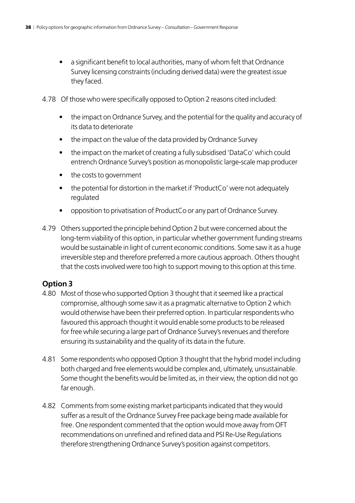- a significant benefit to local authorities, many of whom felt that Ordnance Survey licensing constraints (including derived data) were the greatest issue they faced.
- 4.78 Of those who were specifically opposed to Option 2 reasons cited included:
	- the impact on Ordnance Survey, and the potential for the quality and accuracy of its data to deteriorate
	- the impact on the value of the data provided by Ordnance Survey
	- the impact on the market of creating a fully subsidised 'DataCo' which could entrench Ordnance Survey's position as monopolistic large-scale map producer
	- the costs to government
	- the potential for distortion in the market if 'ProductCo' were not adequately regulated
	- opposition to privatisation of ProductCo or any part of Ordnance Survey.
- 4.79 Others supported the principle behind Option 2 but were concerned about the long-term viability of this option, in particular whether government funding streams would be sustainable in light of current economic conditions. Some saw it as a huge irreversible step and therefore preferred a more cautious approach. Others thought that the costs involved were too high to support moving to this option at this time.

#### **Option 3**

- 4.80 Most of those who supported Option 3 thought that it seemed like a practical compromise, although some saw it as a pragmatic alternative to Option 2 which would otherwise have been their preferred option. In particular respondents who favoured this approach thought it would enable some products to be released for free while securing a large part of Ordnance Survey's revenues and therefore ensuring its sustainability and the quality of its data in the future.
- 4.81 Some respondents who opposed Option 3 thought that the hybrid model including both charged and free elements would be complex and, ultimately, unsustainable. Some thought the benefits would be limited as, in their view, the option did not go far enough.
- 4.82 Comments from some existing market participants indicated that they would suffer as a result of the Ordnance Survey Free package being made available for free. One respondent commented that the option would move away from OFT recommendations on unrefined and refined data and PSI Re-Use Regulations therefore strengthening Ordnance Survey's position against competitors.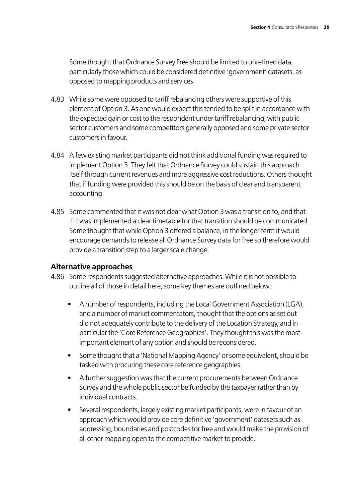Some thought that Ordnance Survey Free should be limited to unrefined data, particularly those which could be considered definitive 'government' datasets, as opposed to mapping products and services.

- 4.83 While some were opposed to tariff rebalancing others were supportive of this element of Option 3. As one would expect this tended to be split in accordance with the expected gain or cost to the respondent under tariff rebalancing, with public sector customers and some competitors generally opposed and some private sector customers in favour.
- 4.84 A few existing market participants did not think additional funding was required to implement Option 3. They felt that Ordnance Survey could sustain this approach itself through current revenues and more aggressive cost reductions. Others thought that if funding were provided this should be on the basis of clear and transparent accounting.
- 4.85 Some commented that it was not clear what Option 3 was a transition to, and that if it was implemented a clear timetable for that transition should be communicated. Some thought that while Option 3 offered a balance, in the longer term it would encourage demands to release all Ordnance Survey data for free so therefore would provide a transition step to a larger scale change.

#### **Alternative approaches**

- 4.86 Some respondents suggested alternative approaches. While it is not possible to outline all of those in detail here, some key themes are outlined below:
	- A number of respondents, including the Local Government Association (LGA), and a number of market commentators, thought that the options as set out did not adequately contribute to the delivery of the Location Strategy, and in particular the 'Core Reference Geographies'. They thought this was the most important element of any option and should be reconsidered.
	- Some thought that a 'National Mapping Agency' or some equivalent, should be tasked with procuring these core reference geographies.
	- A further suggestion was that the current procurements between Ordnance Survey and the whole public sector be funded by the taxpayer rather than by individual contracts.
	- Several respondents, largely existing market participants, were in favour of an approach which would provide core definitive 'government' datasets such as addressing, boundaries and postcodes for free and would make the provision of all other mapping open to the competitive market to provide.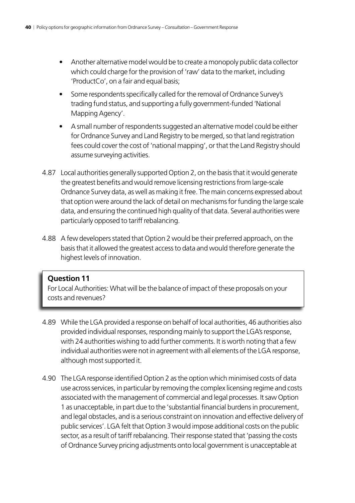- Another alternative model would be to create a monopoly public data collector which could charge for the provision of 'raw' data to the market, including 'ProductCo', on a fair and equal basis;
- Some respondents specifically called for the removal of Ordnance Survey's trading fund status, and supporting a fully government-funded 'National Mapping Agency'.
- A small number of respondents suggested an alternative model could be either for Ordnance Survey and Land Registry to be merged, so that land registration fees could cover the cost of 'national mapping', or that the Land Registry should assume surveying activities.
- 4.87 Local authorities generally supported Option 2, on the basis that it would generate the greatest benefits and would remove licensing restrictions from large-scale Ordnance Survey data, as well as making it free. The main concerns expressed about that option were around the lack of detail on mechanisms for funding the large scale data, and ensuring the continued high quality of that data. Several authorities were particularly opposed to tariff rebalancing.
- 4.88 A few developers stated that Option 2 would be their preferred approach, on the basis that it allowed the greatest access to data and would therefore generate the highest levels of innovation.

For Local Authorities: What will be the balance of impact of these proposals on your costs and revenues?

- 4.89 While the LGA provided a response on behalf of local authorities, 46 authorities also provided individual responses, responding mainly to support the LGA's response, with 24 authorities wishing to add further comments. It is worth noting that a few individual authorities were not in agreement with all elements of the LGA response, although most supported it.
- 4.90 The LGA response identified Option 2 as the option which minimised costs of data use across services, in particular by removing the complex licensing regime and costs associated with the management of commercial and legal processes. It saw Option 1 as unacceptable, in part due to the 'substantial financial burdens in procurement, and legal obstacles, and is a serious constraint on innovation and effective delivery of public services'. LGA felt that Option 3 would impose additional costs on the public sector, as a result of tariff rebalancing. Their response stated that 'passing the costs of Ordnance Survey pricing adjustments onto local government is unacceptable at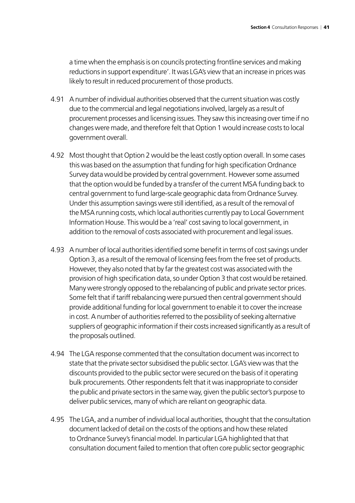a time when the emphasis is on councils protecting frontline services and making reductions in support expenditure'. It was LGA's view that an increase in prices was likely to result in reduced procurement of those products.

- 4.91 A number of individual authorities observed that the current situation was costly due to the commercial and legal negotiations involved, largely as a result of procurement processes and licensing issues. They saw this increasing over time if no changes were made, and therefore felt that Option 1 would increase costs to local government overall.
- 4.92 Most thought that Option 2 would be the least costly option overall. In some cases this was based on the assumption that funding for high specification Ordnance Survey data would be provided by central government. However some assumed that the option would be funded by a transfer of the current MSA funding back to central government to fund large-scale geographic data from Ordnance Survey. Under this assumption savings were still identified, as a result of the removal of the MSA running costs, which local authorities currently pay to Local Government Information House. This would be a 'real' cost saving to local government, in addition to the removal of costs associated with procurement and legal issues.
- 4.93 A number of local authorities identified some benefit in terms of cost savings under Option 3, as a result of the removal of licensing fees from the free set of products. However, they also noted that by far the greatest cost was associated with the provision of high specification data, so under Option 3 that cost would be retained. Many were strongly opposed to the rebalancing of public and private sector prices. Some felt that if tariff rebalancing were pursued then central government should provide additional funding for local government to enable it to cover the increase in cost. A number of authorities referred to the possibility of seeking alternative suppliers of geographic information if their costs increased significantly as a result of the proposals outlined.
- 4.94 The LGA response commented that the consultation document was incorrect to state that the private sector subsidised the public sector. LGA's view was that the discounts provided to the public sector were secured on the basis of it operating bulk procurements. Other respondents felt that it was inappropriate to consider the public and private sectors in the same way, given the public sector's purpose to deliver public services, many of which are reliant on geographic data.
- 4.95 The LGA, and a number of individual local authorities, thought that the consultation document lacked of detail on the costs of the options and how these related to Ordnance Survey's financial model. In particular LGA highlighted that that consultation document failed to mention that often core public sector geographic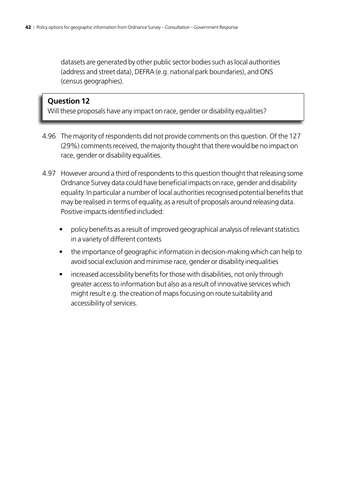datasets are generated by other public sector bodies such as local authorities (address and street data), DEFRA (e.g. national park boundaries), and ONS (census geographies).

#### **Question 12**

Will these proposals have any impact on race, gender or disability equalities?

- 4.96 The majority of respondents did not provide comments on this question. Of the 127 (29%) comments received, the majority thought that there would be no impact on race, gender or disability equalities.
- 4.97 However around a third of respondents to this question thought that releasing some Ordnance Survey data could have beneficial impacts on race, gender and disability equality. In particular a number of local authorities recognised potential benefits that may be realised in terms of equality, as a result of proposals around releasing data. Positive impacts identified included:
	- policy benefits as a result of improved geographical analysis of relevant statistics in a variety of different contexts
	- the importance of geographic information in decision-making which can help to avoid social exclusion and minimise race, gender or disability inequalities
	- increased accessibility benefits for those with disabilities, not only through greater access to information but also as a result of innovative services which might result e.g. the creation of maps focusing on route suitability and accessibility of services.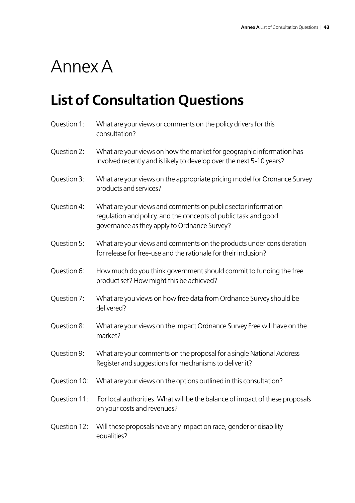# <span id="page-42-0"></span>Annex A

## **List of Consultation Questions**

| Question 1:  | What are your views or comments on the policy drivers for this<br>consultation?                                                                                                  |
|--------------|----------------------------------------------------------------------------------------------------------------------------------------------------------------------------------|
| Question 2:  | What are your views on how the market for geographic information has<br>involved recently and is likely to develop over the next 5-10 years?                                     |
| Question 3:  | What are your views on the appropriate pricing model for Ordnance Survey<br>products and services?                                                                               |
| Question 4:  | What are your views and comments on public sector information<br>regulation and policy, and the concepts of public task and good<br>governance as they apply to Ordnance Survey? |
| Question 5:  | What are your views and comments on the products under consideration<br>for release for free-use and the rationale for their inclusion?                                          |
| Question 6:  | How much do you think government should commit to funding the free<br>product set? How might this be achieved?                                                                   |
| Question 7:  | What are you views on how free data from Ordnance Survey should be<br>delivered?                                                                                                 |
| Question 8:  | What are your views on the impact Ordnance Survey Free will have on the<br>market?                                                                                               |
| Question 9:  | What are your comments on the proposal for a single National Address<br>Register and suggestions for mechanisms to deliver it?                                                   |
| Question 10: | What are your views on the options outlined in this consultation?                                                                                                                |
| Question 11: | For local authorities: What will be the balance of impact of these proposals<br>on your costs and revenues?                                                                      |
| Question 12: | Will these proposals have any impact on race, gender or disability<br>equalities?                                                                                                |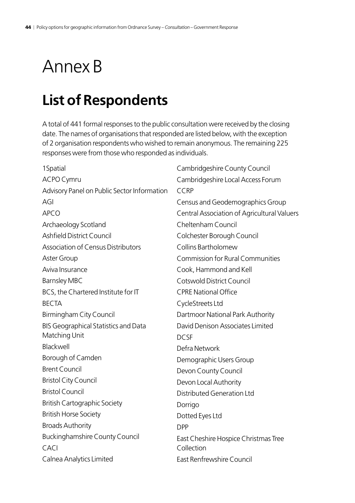# <span id="page-43-0"></span>Annex B

## **List of Respondents**

A total of 441 formal responses to the public consultation were received by the closing date. The names of organisations that responded are listed below, with the exception of 2 organisation respondents who wished to remain anonymous. The remaining 225 responses were from those who responded as individuals.

| 1Spatial                                    | Cambridgeshire County Council               |
|---------------------------------------------|---------------------------------------------|
| <b>ACPO Cymru</b>                           | Cambridgeshire Local Access Forum           |
| Advisory Panel on Public Sector Information | <b>CCRP</b>                                 |
| AGI                                         | Census and Geodemographics Group            |
| <b>APCO</b>                                 | Central Association of Agricultural Valuers |
| Archaeology Scotland                        | Cheltenham Council                          |
| <b>Ashfield District Council</b>            | Colchester Borough Council                  |
| <b>Association of Census Distributors</b>   | Collins Bartholomew                         |
| Aster Group                                 | <b>Commission for Rural Communities</b>     |
| Aviva Insurance                             | Cook, Hammond and Kell                      |
| <b>Barnsley MBC</b>                         | Cotswold District Council                   |
| BCS, the Chartered Institute for IT         | <b>CPRE National Office</b>                 |
| <b>BECTA</b>                                | CycleStreets Ltd                            |
| Birmingham City Council                     | Dartmoor National Park Authority            |
| <b>BIS Geographical Statistics and Data</b> | David Denison Associates Limited            |
| Matching Unit                               | <b>DCSF</b>                                 |
| Blackwell                                   | Defra Network                               |
| Borough of Camden                           | Demographic Users Group                     |
| <b>Brent Council</b>                        | Devon County Council                        |
| <b>Bristol City Council</b>                 | Devon Local Authority                       |
| <b>Bristol Council</b>                      | <b>Distributed Generation Ltd</b>           |
| <b>British Cartographic Society</b>         | Dorrigo                                     |
| <b>British Horse Society</b>                | Dotted Eyes Ltd                             |
| <b>Broads Authority</b>                     | <b>DPP</b>                                  |
| <b>Buckinghamshire County Council</b>       | East Cheshire Hospice Christmas Tree        |
| CACI                                        | Collection                                  |
| Calnea Analytics Limited                    | East Renfrewshire Council                   |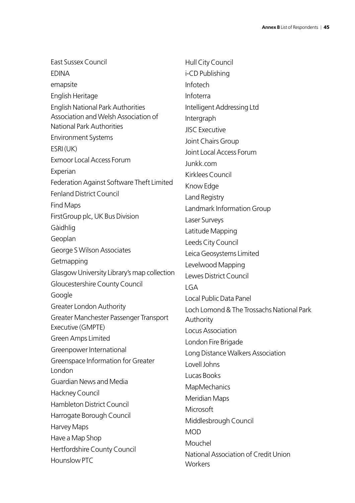| East Sussex Council                          | Hull City Council                               |
|----------------------------------------------|-------------------------------------------------|
| <b>EDINA</b>                                 | i-CD Publishing                                 |
| emapsite                                     | Infotech                                        |
| English Heritage                             | Infoterra                                       |
| <b>English National Park Authorities</b>     | Intelligent Addressing Ltd                      |
| Association and Welsh Association of         | Intergraph                                      |
| <b>National Park Authorities</b>             | <b>JISC Executive</b>                           |
| <b>Environment Systems</b>                   | Joint Chairs Group                              |
| ESRI(UK)                                     | Joint Local Access Forum                        |
| <b>Exmoor Local Access Forum</b>             | Junkk.com                                       |
| Experian                                     | Kirklees Council                                |
| Federation Against Software Theft Limited    | Know Edge                                       |
| <b>Fenland District Council</b>              | Land Registry                                   |
| Find Maps                                    | Landmark Information Group                      |
| First Group plc, UK Bus Division             | Laser Surveys                                   |
| Gàidhlig                                     | Latitude Mapping                                |
| Geoplan                                      | Leeds City Council                              |
| George S Wilson Associates                   | Leica Geosystems Limited                        |
| Getmapping                                   | Levelwood Mapping                               |
| Glasgow University Library's map collection  | Lewes District Council                          |
| Gloucestershire County Council               | <b>LGA</b>                                      |
| Google                                       | Local Public Data Panel                         |
| <b>Greater London Authority</b>              | Loch Lomond & The Trossachs National Park       |
| Greater Manchester Passenger Transport       | Authority                                       |
| Executive (GMPTE)                            | Locus Association                               |
| Green Amps Limited                           | London Fire Brigade                             |
| Greenpower International                     | Long Distance Walkers Association               |
| Greenspace Information for Greater<br>London | Lovell Johns                                    |
| <b>Guardian News and Media</b>               | Lucas Books                                     |
| Hackney Council                              | MapMechanics                                    |
| Hambleton District Council                   | Meridian Maps                                   |
| Harrogate Borough Council                    | Microsoft                                       |
| Harvey Maps                                  | Middlesbrough Council                           |
| Have a Map Shop                              | <b>MOD</b>                                      |
| Hertfordshire County Council                 | Mouchel                                         |
| Hounslow PTC                                 | National Association of Credit Union<br>Workers |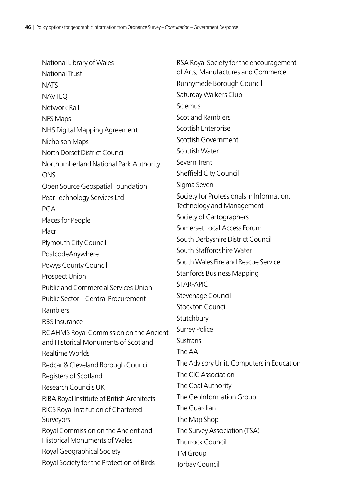| National Library of Wales                   | RSA Royal Society for the encouragement   |
|---------------------------------------------|-------------------------------------------|
| <b>National Trust</b>                       | of Arts, Manufactures and Commerce        |
| <b>NATS</b>                                 | Runnymede Borough Council                 |
| <b>NAVTEQ</b>                               | Saturday Walkers Club                     |
| Network Rail                                | Sciemus                                   |
| <b>NFS Maps</b>                             | <b>Scotland Ramblers</b>                  |
| NHS Digital Mapping Agreement               | Scottish Enterprise                       |
| Nicholson Maps                              | Scottish Government                       |
| North Dorset District Council               | Scottish Water                            |
| Northumberland National Park Authority      | Severn Trent                              |
| <b>ONS</b>                                  | Sheffield City Council                    |
| Open Source Geospatial Foundation           | Sigma Seven                               |
| Pear Technology Services Ltd                | Society for Professionals in Information, |
| PGA                                         | Technology and Management                 |
| Places for People                           | Society of Cartographers                  |
| Placr                                       | Somerset Local Access Forum               |
| Plymouth City Council                       | South Derbyshire District Council         |
| PostcodeAnywhere                            | South Staffordshire Water                 |
| Powys County Council                        | South Wales Fire and Rescue Service       |
| Prospect Union                              | <b>Stanfords Business Mapping</b>         |
| <b>Public and Commercial Services Union</b> | <b>STAR-APIC</b>                          |
| Public Sector - Central Procurement         | Stevenage Council                         |
| Ramblers                                    | <b>Stockton Council</b>                   |
| <b>RBS</b> Insurance                        | Stutchbury                                |
| RCAHMS Royal Commission on the Ancient      | <b>Surrey Police</b>                      |
| and Historical Monuments of Scotland        | <b>Sustrans</b>                           |
| Realtime Worlds                             | The AA                                    |
| Redcar & Cleveland Borough Council          | The Advisory Unit: Computers in Education |
| Registers of Scotland                       | The CIC Association                       |
| Research Councils UK                        | The Coal Authority                        |
| RIBA Royal Institute of British Architects  | The GeoInformation Group                  |
| RICS Royal Institution of Chartered         | The Guardian                              |
| Surveyors                                   | The Map Shop                              |
| Royal Commission on the Ancient and         | The Survey Association (TSA)              |
| <b>Historical Monuments of Wales</b>        | <b>Thurrock Council</b>                   |
| Royal Geographical Society                  | <b>TM Group</b>                           |
| Royal Society for the Protection of Birds   | Torbay Council                            |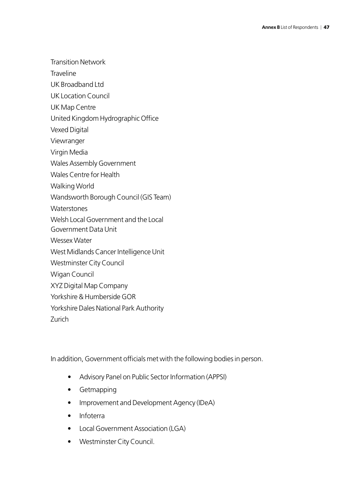Transition Network

Traveline

UK Broadband Ltd

UK Location Council

UK Map Centre

United Kingdom Hydrographic Office

Vexed Digital

Viewranger

Virgin Media

Wales Assembly Government

Wales Centre for Health

Walking World

Wandsworth Borough Council (GIS Team)

**Waterstones** 

Welsh Local Government and the Local

Government Data Unit

Wessex Water

West Midlands Cancer Intelligence Unit

Westminster City Council

Wigan Council

XYZ Digital Map Company

Yorkshire & Humberside GOR

Yorkshire Dales National Park Authority

Zurich

In addition, Government officials met with the following bodies in person.

- Advisory Panel on Public Sector Information (APPSI)
- Getmapping
- Improvement and Development Agency (IDeA)
- Infoterra
- Local Government Association (LGA)
- Westminster City Council.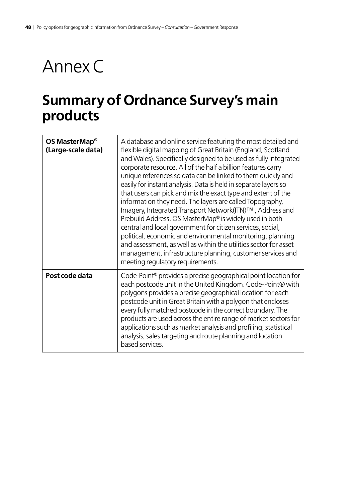# <span id="page-47-0"></span>Annex C

## **Summary of Ordnance Survey's main products**

| OS MasterMap <sup>®</sup><br>(Large-scale data) | A database and online service featuring the most detailed and<br>flexible digital mapping of Great Britain (England, Scotland<br>and Wales). Specifically designed to be used as fully integrated<br>corporate resource. All of the half a billion features carry<br>unique references so data can be linked to them quickly and<br>easily for instant analysis. Data is held in separate layers so<br>that users can pick and mix the exact type and extent of the<br>information they need. The layers are called Topography,<br>Imagery, Integrated Transport Network(ITN)™, Address and<br>Prebuild Address. OS MasterMap® is widely used in both<br>central and local government for citizen services, social,<br>political, economic and environmental monitoring, planning<br>and assessment, as well as within the utilities sector for asset<br>management, infrastructure planning, customer services and |
|-------------------------------------------------|---------------------------------------------------------------------------------------------------------------------------------------------------------------------------------------------------------------------------------------------------------------------------------------------------------------------------------------------------------------------------------------------------------------------------------------------------------------------------------------------------------------------------------------------------------------------------------------------------------------------------------------------------------------------------------------------------------------------------------------------------------------------------------------------------------------------------------------------------------------------------------------------------------------------|
| Post code data                                  | meeting regulatory requirements.<br>Code-Point <sup>®</sup> provides a precise geographical point location for<br>each postcode unit in the United Kingdom. Code-Point® with<br>polygons provides a precise geographical location for each<br>postcode unit in Great Britain with a polygon that encloses<br>every fully matched postcode in the correct boundary. The<br>products are used across the entire range of market sectors for<br>applications such as market analysis and profiling, statistical<br>analysis, sales targeting and route planning and location<br>based services.                                                                                                                                                                                                                                                                                                                        |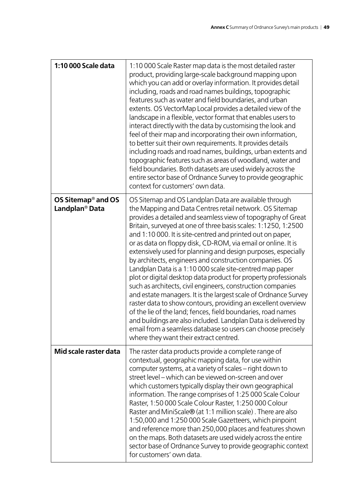| 1:10 000 Scale data                                          | 1:10 000 Scale Raster map data is the most detailed raster<br>product, providing large-scale background mapping upon<br>which you can add or overlay information. It provides detail<br>including, roads and road names buildings, topographic<br>features such as water and field boundaries, and urban<br>extents. OS VectorMap Local provides a detailed view of the<br>landscape in a flexible, vector format that enables users to<br>interact directly with the data by customising the look and<br>feel of their map and incorporating their own information,<br>to better suit their own requirements. It provides details<br>including roads and road names, buildings, urban extents and<br>topographic features such as areas of woodland, water and<br>field boundaries. Both datasets are used widely across the<br>entire sector base of Ordnance Survey to provide geographic<br>context for customers' own data.                                                                                                                                                            |
|--------------------------------------------------------------|---------------------------------------------------------------------------------------------------------------------------------------------------------------------------------------------------------------------------------------------------------------------------------------------------------------------------------------------------------------------------------------------------------------------------------------------------------------------------------------------------------------------------------------------------------------------------------------------------------------------------------------------------------------------------------------------------------------------------------------------------------------------------------------------------------------------------------------------------------------------------------------------------------------------------------------------------------------------------------------------------------------------------------------------------------------------------------------------|
| OS Sitemap <sup>®</sup> and OS<br>Landplan <sup>®</sup> Data | OS Sitemap and OS Landplan Data are available through<br>the Mapping and Data Centres retail network. OS Sitemap<br>provides a detailed and seamless view of topography of Great<br>Britain, surveyed at one of three basis scales: 1:1250, 1:2500<br>and 1:10 000. It is site-centred and printed out on paper,<br>or as data on floppy disk, CD-ROM, via email or online. It is<br>extensively used for planning and design purposes, especially<br>by architects, engineers and construction companies. OS<br>Landplan Data is a 1:10 000 scale site-centred map paper<br>plot or digital desktop data product for property professionals<br>such as architects, civil engineers, construction companies<br>and estate managers. It is the largest scale of Ordnance Survey<br>raster data to show contours, providing an excellent overview<br>of the lie of the land; fences, field boundaries, road names<br>and buildings are also included. Landplan Data is delivered by<br>email from a seamless database so users can choose precisely<br>where they want their extract centred. |
| Mid scale raster data                                        | The raster data products provide a complete range of<br>contextual, geographic mapping data, for use within<br>computer systems, at a variety of scales - right down to<br>street level – which can be viewed on-screen and over<br>which customers typically display their own geographical<br>information. The range comprises of 1:25 000 Scale Colour<br>Raster, 1:50 000 Scale Colour Raster, 1:250 000 Colour<br>Raster and MiniScale® (at 1:1 million scale). There are also<br>1:50,000 and 1:250 000 Scale Gazetteers, which pinpoint<br>and reference more than 250,000 places and features shown<br>on the maps. Both datasets are used widely across the entire<br>sector base of Ordnance Survey to provide geographic context<br>for customers' own data.                                                                                                                                                                                                                                                                                                                     |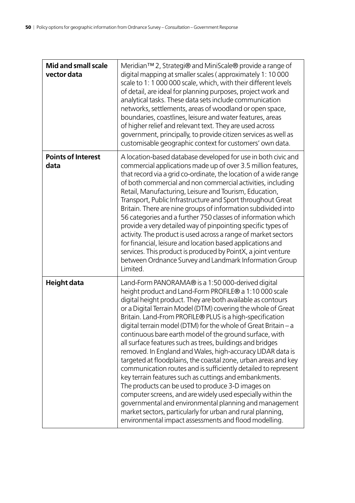| Mid and small scale<br>vector data | Meridian™ 2, Strategi® and MiniScale® provide a range of<br>digital mapping at smaller scales (approximately 1: 10 000<br>scale to 1: 1 000 000 scale, which, with their different levels<br>of detail, are ideal for planning purposes, project work and<br>analytical tasks. These data sets include communication<br>networks, settlements, areas of woodland or open space,<br>boundaries, coastlines, leisure and water features, areas<br>of higher relief and relevant text. They are used across<br>government, principally, to provide citizen services as well as<br>customisable geographic context for customers' own data.                                                                                                                                                                                                                                                                                                                                                                                                                           |
|------------------------------------|-------------------------------------------------------------------------------------------------------------------------------------------------------------------------------------------------------------------------------------------------------------------------------------------------------------------------------------------------------------------------------------------------------------------------------------------------------------------------------------------------------------------------------------------------------------------------------------------------------------------------------------------------------------------------------------------------------------------------------------------------------------------------------------------------------------------------------------------------------------------------------------------------------------------------------------------------------------------------------------------------------------------------------------------------------------------|
| <b>Points of Interest</b><br>data  | A location-based database developed for use in both civic and<br>commercial applications made up of over 3.5 million features,<br>that record via a grid co-ordinate, the location of a wide range<br>of both commercial and non commercial activities, including<br>Retail, Manufacturing, Leisure and Tourism, Education,<br>Transport, Public Infrastructure and Sport throughout Great<br>Britain. There are nine groups of information subdivided into<br>56 categories and a further 750 classes of information which<br>provide a very detailed way of pinpointing specific types of<br>activity. The product is used across a range of market sectors<br>for financial, leisure and location based applications and<br>services. This product is produced by PointX, a joint venture<br>between Ordnance Survey and Landmark Information Group<br>Limited.                                                                                                                                                                                                |
| Height data                        | Land-Form PANORAMA® is a 1:50 000-derived digital<br>height product and Land-Form PROFILE® a 1:10 000 scale<br>digital height product. They are both available as contours<br>or a Digital Terrain Model (DTM) covering the whole of Great<br>Britain. Land-From PROFILE® PLUS is a high-specification<br>digital terrain model (DTM) for the whole of Great Britain – a<br>continuous bare earth model of the ground surface, with<br>all surface features such as trees, buildings and bridges<br>removed. In England and Wales, high-accuracy LIDAR data is<br>targeted at floodplains, the coastal zone, urban areas and key<br>communication routes and is sufficiently detailed to represent<br>key terrain features such as cuttings and embankments.<br>The products can be used to produce 3-D images on<br>computer screens, and are widely used especially within the<br>governmental and environmental planning and management<br>market sectors, particularly for urban and rural planning,<br>environmental impact assessments and flood modelling. |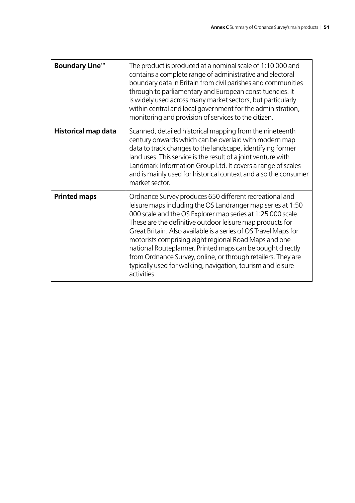| <b>Boundary Line™</b>      | The product is produced at a nominal scale of 1:10 000 and<br>contains a complete range of administrative and electoral<br>boundary data in Britain from civil parishes and communities<br>through to parliamentary and European constituencies. It<br>is widely used across many market sectors, but particularly<br>within central and local government for the administration,<br>monitoring and provision of services to the citizen.                                                                                                                                                  |
|----------------------------|--------------------------------------------------------------------------------------------------------------------------------------------------------------------------------------------------------------------------------------------------------------------------------------------------------------------------------------------------------------------------------------------------------------------------------------------------------------------------------------------------------------------------------------------------------------------------------------------|
| <b>Historical map data</b> | Scanned, detailed historical mapping from the nineteenth<br>century onwards which can be overlaid with modern map<br>data to track changes to the landscape, identifying former<br>land uses. This service is the result of a joint venture with<br>Landmark Information Group Ltd. It covers a range of scales<br>and is mainly used for historical context and also the consumer<br>market sector.                                                                                                                                                                                       |
| <b>Printed maps</b>        | Ordnance Survey produces 650 different recreational and<br>leisure maps including the OS Landranger map series at 1:50<br>000 scale and the OS Explorer map series at 1:25 000 scale.<br>These are the definitive outdoor leisure map products for<br>Great Britain. Also available is a series of OS Travel Maps for<br>motorists comprising eight regional Road Maps and one<br>national Routeplanner. Printed maps can be bought directly<br>from Ordnance Survey, online, or through retailers. They are<br>typically used for walking, navigation, tourism and leisure<br>activities. |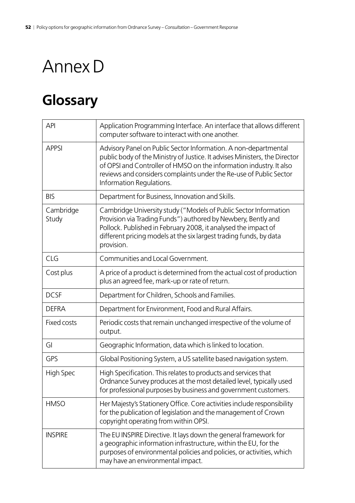# <span id="page-51-0"></span>Annex D

# **Glossary**

| <b>API</b>         | Application Programming Interface. An interface that allows different<br>computer software to interact with one another.                                                                                                                                                                                               |
|--------------------|------------------------------------------------------------------------------------------------------------------------------------------------------------------------------------------------------------------------------------------------------------------------------------------------------------------------|
| <b>APPSI</b>       | Advisory Panel on Public Sector Information. A non-departmental<br>public body of the Ministry of Justice. It advises Ministers, the Director<br>of OPSI and Controller of HMSO on the information industry. It also<br>reviews and considers complaints under the Re-use of Public Sector<br>Information Regulations. |
| <b>BIS</b>         | Department for Business, Innovation and Skills.                                                                                                                                                                                                                                                                        |
| Cambridge<br>Study | Cambridge University study ("Models of Public Sector Information<br>Provision via Trading Funds") authored by Newbery, Bently and<br>Pollock. Published in February 2008, it analysed the impact of<br>different pricing models at the six largest trading funds, by data<br>provision.                                |
| CLG                | Communities and Local Government.                                                                                                                                                                                                                                                                                      |
| Cost plus          | A price of a product is determined from the actual cost of production<br>plus an agreed fee, mark-up or rate of return.                                                                                                                                                                                                |
| <b>DCSF</b>        | Department for Children, Schools and Families.                                                                                                                                                                                                                                                                         |
| <b>DEFRA</b>       | Department for Environment, Food and Rural Affairs.                                                                                                                                                                                                                                                                    |
| <b>Fixed costs</b> | Periodic costs that remain unchanged irrespective of the volume of<br>output.                                                                                                                                                                                                                                          |
| GI                 | Geographic Information, data which is linked to location.                                                                                                                                                                                                                                                              |
| GPS                | Global Positioning System, a US satellite based navigation system.                                                                                                                                                                                                                                                     |
| High Spec          | High Specification. This relates to products and services that<br>Ordnance Survey produces at the most detailed level, typically used<br>for professional purposes by business and government customers.                                                                                                               |
| <b>HMSO</b>        | Her Majesty's Stationery Office. Core activities include responsibility<br>for the publication of legislation and the management of Crown<br>copyright operating from within OPSI.                                                                                                                                     |
| <b>INSPIRE</b>     | The EU INSPIRE Directive. It lays down the general framework for<br>a geographic information infrastructure, within the EU, for the<br>purposes of environmental policies and policies, or activities, which<br>may have an environmental impact.                                                                      |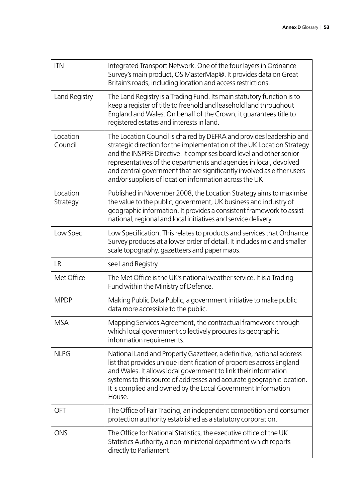| <b>ITN</b>           | Integrated Transport Network. One of the four layers in Ordnance<br>Survey's main product, OS MasterMap®. It provides data on Great<br>Britain's roads, including location and access restrictions.                                                                                                                                                                                                                              |
|----------------------|----------------------------------------------------------------------------------------------------------------------------------------------------------------------------------------------------------------------------------------------------------------------------------------------------------------------------------------------------------------------------------------------------------------------------------|
| Land Registry        | The Land Registry is a Trading Fund. Its main statutory function is to<br>keep a register of title to freehold and leasehold land throughout<br>England and Wales. On behalf of the Crown, it guarantees title to<br>registered estates and interests in land.                                                                                                                                                                   |
| Location<br>Council  | The Location Council is chaired by DEFRA and provides leadership and<br>strategic direction for the implementation of the UK Location Strategy<br>and the INSPIRE Directive. It comprises board level and other senior<br>representatives of the departments and agencies in local, devolved<br>and central government that are significantly involved as either users<br>and/or suppliers of location information across the UK |
| Location<br>Strategy | Published in November 2008, the Location Strategy aims to maximise<br>the value to the public, government, UK business and industry of<br>geographic information. It provides a consistent framework to assist<br>national, regional and local initiatives and service delivery.                                                                                                                                                 |
| Low Spec             | Low Specification. This relates to products and services that Ordnance<br>Survey produces at a lower order of detail. It includes mid and smaller<br>scale topography, gazetteers and paper maps.                                                                                                                                                                                                                                |
| <b>LR</b>            | see Land Registry.                                                                                                                                                                                                                                                                                                                                                                                                               |
| Met Office           | The Met Office is the UK's national weather service. It is a Trading<br>Fund within the Ministry of Defence.                                                                                                                                                                                                                                                                                                                     |
| <b>MPDP</b>          | Making Public Data Public, a government initiative to make public<br>data more accessible to the public.                                                                                                                                                                                                                                                                                                                         |
| <b>MSA</b>           | Mapping Services Agreement, the contractual framework through<br>which local government collectively procures its geographic<br>information requirements.                                                                                                                                                                                                                                                                        |
| <b>NLPG</b>          | National Land and Property Gazetteer, a definitive, national address<br>list that provides unique identification of properties across England<br>and Wales. It allows local government to link their information<br>systems to this source of addresses and accurate geographic location.<br>It is complied and owned by the Local Government Information<br>House.                                                              |
| <b>OFT</b>           | The Office of Fair Trading, an independent competition and consumer<br>protection authority established as a statutory corporation.                                                                                                                                                                                                                                                                                              |
| <b>ONS</b>           | The Office for National Statistics, the executive office of the UK<br>Statistics Authority, a non-ministerial department which reports<br>directly to Parliament.                                                                                                                                                                                                                                                                |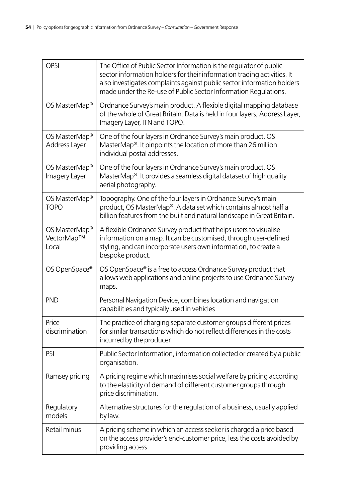| <b>OPSI</b>                                      | The Office of Public Sector Information is the regulator of public<br>sector information holders for their information trading activities. It<br>also investigates complaints against public sector information holders<br>made under the Re-use of Public Sector Information Regulations. |
|--------------------------------------------------|--------------------------------------------------------------------------------------------------------------------------------------------------------------------------------------------------------------------------------------------------------------------------------------------|
| OS MasterMap <sup>®</sup>                        | Ordnance Survey's main product. A flexible digital mapping database<br>of the whole of Great Britain. Data is held in four layers, Address Layer,<br>Imagery Layer, ITN and TOPO.                                                                                                          |
| OS MasterMap <sup>®</sup><br>Address Layer       | One of the four layers in Ordnance Survey's main product, OS<br>MasterMap®. It pinpoints the location of more than 26 million<br>individual postal addresses.                                                                                                                              |
| OS MasterMap <sup>®</sup><br>Imagery Layer       | One of the four layers in Ordnance Survey's main product, OS<br>MasterMap®. It provides a seamless digital dataset of high quality<br>aerial photography.                                                                                                                                  |
| OS MasterMap <sup>®</sup><br><b>TOPO</b>         | Topography. One of the four layers in Ordnance Survey's main<br>product, OS MasterMap®. A data set which contains almost half a<br>billion features from the built and natural landscape in Great Britain.                                                                                 |
| OS MasterMap <sup>®</sup><br>VectorMap™<br>Local | A flexible Ordnance Survey product that helps users to visualise<br>information on a map. It can be customised, through user-defined<br>styling, and can incorporate users own information, to create a<br>bespoke product.                                                                |
| OS OpenSpace®                                    | OS OpenSpace® is a free to access Ordnance Survey product that<br>allows web applications and online projects to use Ordnance Survey<br>maps.                                                                                                                                              |
| <b>PND</b>                                       | Personal Navigation Device, combines location and navigation<br>capabilities and typically used in vehicles                                                                                                                                                                                |
| Price<br>discrimination                          | The practice of charging separate customer groups different prices<br>for similar transactions which do not reflect differences in the costs<br>incurred by the producer.                                                                                                                  |
| PSI                                              | Public Sector Information, information collected or created by a public<br>organisation.                                                                                                                                                                                                   |
| Ramsey pricing                                   | A pricing regime which maximises social welfare by pricing according<br>to the elasticity of demand of different customer groups through<br>price discrimination.                                                                                                                          |
| Regulatory<br>models                             | Alternative structures for the regulation of a business, usually applied<br>by law.                                                                                                                                                                                                        |
| Retail minus                                     | A pricing scheme in which an access seeker is charged a price based<br>on the access provider's end-customer price, less the costs avoided by<br>providing access                                                                                                                          |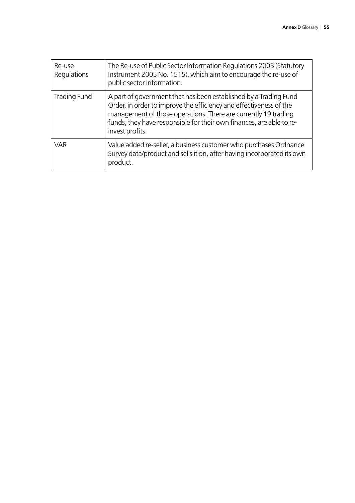| Re-use<br>Regulations | The Re-use of Public Sector Information Regulations 2005 (Statutory<br>Instrument 2005 No. 1515), which aim to encourage the re-use of<br>public sector information.                                                                                                                                |
|-----------------------|-----------------------------------------------------------------------------------------------------------------------------------------------------------------------------------------------------------------------------------------------------------------------------------------------------|
| Trading Fund          | A part of government that has been established by a Trading Fund<br>Order, in order to improve the efficiency and effectiveness of the<br>management of those operations. There are currently 19 trading<br>funds, they have responsible for their own finances, are able to re-<br>invest profits. |
| <b>VAR</b>            | Value added re-seller, a business customer who purchases Ordnance<br>Survey data/product and sells it on, after having incorporated its own<br>product.                                                                                                                                             |